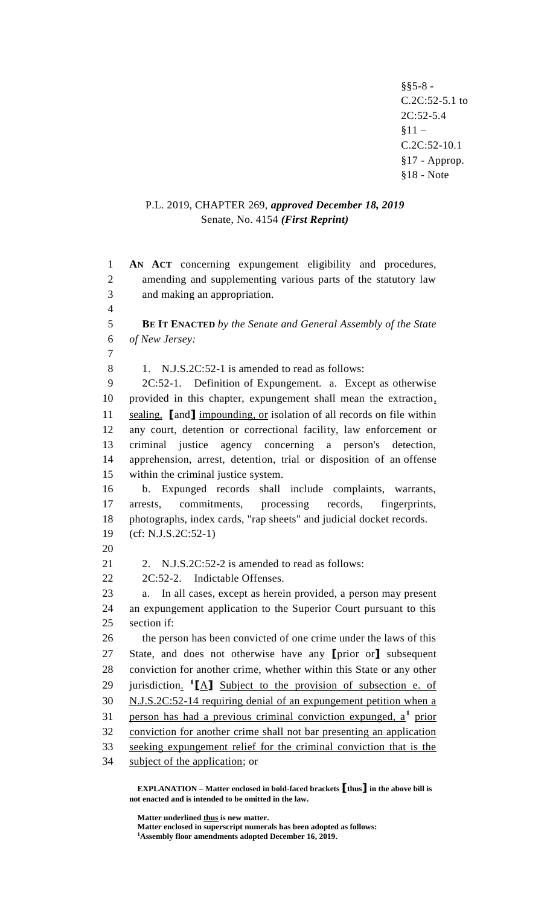§§5-8 - C.2C:52-5.1 to 2C:52-5.4  $§11 -$ C.2C:52-10.1 §17 - Approp. §18 - Note

# P.L. 2019, CHAPTER 269, *approved December 18, 2019* Senate, No. 4154 *(First Reprint)*

 **AN ACT** concerning expungement eligibility and procedures, amending and supplementing various parts of the statutory law and making an appropriation. **BE IT ENACTED** *by the Senate and General Assembly of the State of New Jersey:* 8 1. N.J.S.2C:52-1 is amended to read as follows: 2C:52-1. Definition of Expungement. a. Except as otherwise provided in this chapter, expungement shall mean the extraction, sealing, **[**and**]** impounding, or isolation of all records on file within any court, detention or correctional facility, law enforcement or criminal justice agency concerning a person's detection, apprehension, arrest, detention, trial or disposition of an offense within the criminal justice system. b. Expunged records shall include complaints, warrants, arrests, commitments, processing records, fingerprints, photographs, index cards, "rap sheets" and judicial docket records. (cf: N.J.S.2C:52-1) 21 2. N.J.S.2C:52-2 is amended to read as follows: 2C:52-2. Indictable Offenses. a. In all cases, except as herein provided, a person may present an expungement application to the Superior Court pursuant to this section if: 26 the person has been convicted of one crime under the laws of this State, and does not otherwise have any **[**prior or**]** subsequent conviction for another crime, whether within this State or any other 29 jurisdiction. <sup>1</sup>[A] Subject to the provision of subsection e. of N.J.S.2C:52-14 requiring denial of an expungement petition when a 31 person has had a previous criminal conviction expunged, a<sup>1</sup> prior conviction for another crime shall not bar presenting an application seeking expungement relief for the criminal conviction that is the subject of the application; or

**EXPLANATION – Matter enclosed in bold-faced brackets [thus] in the above bill is not enacted and is intended to be omitted in the law.**

**Matter underlined thus is new matter.**

**Matter enclosed in superscript numerals has been adopted as follows:**

**Assembly floor amendments adopted December 16, 2019.**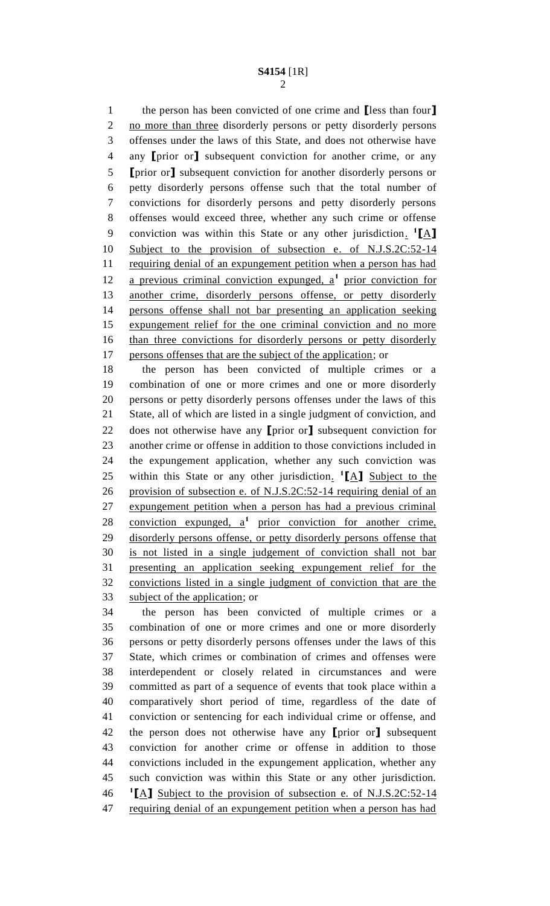the person has been convicted of one crime and **[**less than four**]** no more than three disorderly persons or petty disorderly persons offenses under the laws of this State, and does not otherwise have any **[**prior or**]** subsequent conviction for another crime, or any **[**prior or**]** subsequent conviction for another disorderly persons or petty disorderly persons offense such that the total number of convictions for disorderly persons and petty disorderly persons offenses would exceed three, whether any such crime or offense conviction was within this State or any other jurisdiction. **1 [**A**]** Subject to the provision of subsection e. of N.J.S.2C:52-14 11 requiring denial of an expungement petition when a person has had 12 a previous criminal conviction expunged, a<sup>1</sup> prior conviction for another crime, disorderly persons offense, or petty disorderly persons offense shall not bar presenting an application seeking expungement relief for the one criminal conviction and no more than three convictions for disorderly persons or petty disorderly persons offenses that are the subject of the application; or

 the person has been convicted of multiple crimes or a combination of one or more crimes and one or more disorderly persons or petty disorderly persons offenses under the laws of this State, all of which are listed in a single judgment of conviction, and does not otherwise have any **[**prior or**]** subsequent conviction for another crime or offense in addition to those convictions included in the expungement application, whether any such conviction was 25 within this State or any other jurisdiction. <sup>1</sup>[A] Subject to the provision of subsection e. of N.J.S.2C:52-14 requiring denial of an expungement petition when a person has had a previous criminal 28 conviction expunged, a<sup>1</sup> prior conviction for another crime, disorderly persons offense, or petty disorderly persons offense that is not listed in a single judgement of conviction shall not bar presenting an application seeking expungement relief for the convictions listed in a single judgment of conviction that are the subject of the application; or

 the person has been convicted of multiple crimes or a combination of one or more crimes and one or more disorderly persons or petty disorderly persons offenses under the laws of this State, which crimes or combination of crimes and offenses were interdependent or closely related in circumstances and were committed as part of a sequence of events that took place within a comparatively short period of time, regardless of the date of conviction or sentencing for each individual crime or offense, and the person does not otherwise have any **[**prior or**]** subsequent conviction for another crime or offense in addition to those convictions included in the expungement application, whether any such conviction was within this State or any other jurisdiction. **[**A**]** Subject to the provision of subsection e. of N.J.S.2C:52-14 requiring denial of an expungement petition when a person has had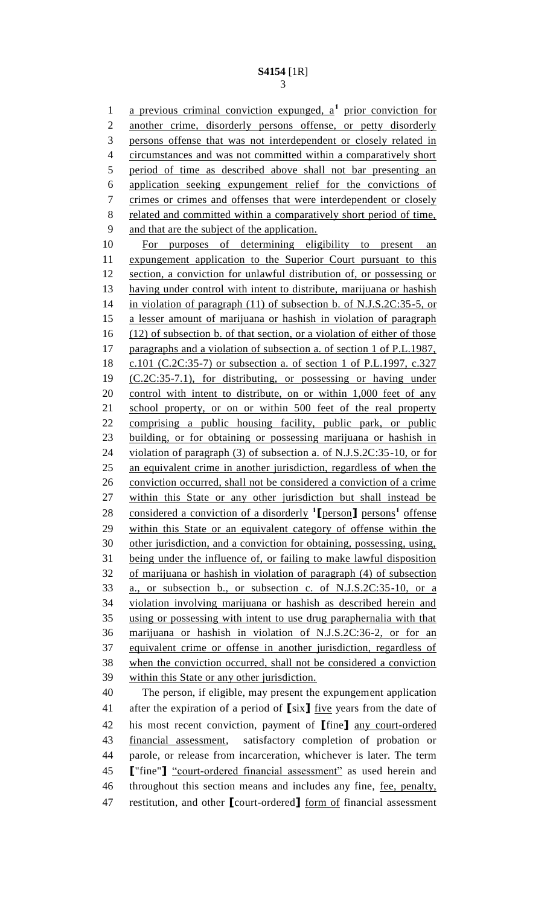1 a previous criminal conviction expunged, a<sup>1</sup> prior conviction for another crime, disorderly persons offense, or petty disorderly persons offense that was not interdependent or closely related in circumstances and was not committed within a comparatively short period of time as described above shall not bar presenting an application seeking expungement relief for the convictions of crimes or crimes and offenses that were interdependent or closely 8 related and committed within a comparatively short period of time, and that are the subject of the application. For purposes of determining eligibility to present an 11 expungement application to the Superior Court pursuant to this section, a conviction for unlawful distribution of, or possessing or having under control with intent to distribute, marijuana or hashish in violation of paragraph (11) of subsection b. of N.J.S.2C:35-5, or a lesser amount of marijuana or hashish in violation of paragraph (12) of subsection b. of that section, or a violation of either of those paragraphs and a violation of subsection a. of section 1 of P.L.1987, c.101 (C.2C:35-7) or subsection a. of section 1 of P.L.1997, c.327 (C.2C:35-7.1), for distributing, or possessing or having under 20 control with intent to distribute, on or within 1,000 feet of any school property, or on or within 500 feet of the real property comprising a public housing facility, public park, or public building, or for obtaining or possessing marijuana or hashish in violation of paragraph (3) of subsection a. of N.J.S.2C:35-10, or for an equivalent crime in another jurisdiction, regardless of when the conviction occurred, shall not be considered a conviction of a crime within this State or any other jurisdiction but shall instead be 28 considered a conviction of a disorderly <sup>1</sup>[person] persons<sup>1</sup> offense within this State or an equivalent category of offense within the other jurisdiction, and a conviction for obtaining, possessing, using, being under the influence of, or failing to make lawful disposition of marijuana or hashish in violation of paragraph (4) of subsection a., or subsection b., or subsection c. of N.J.S.2C:35-10, or a violation involving marijuana or hashish as described herein and using or possessing with intent to use drug paraphernalia with that marijuana or hashish in violation of N.J.S.2C:36-2, or for an equivalent crime or offense in another jurisdiction, regardless of when the conviction occurred, shall not be considered a conviction within this State or any other jurisdiction. The person, if eligible, may present the expungement application after the expiration of a period of **[**six**]** five years from the date of his most recent conviction, payment of **[**fine**]** any court-ordered financial assessment, satisfactory completion of probation or parole, or release from incarceration, whichever is later. The term **[**"fine"**]** "court-ordered financial assessment" as used herein and throughout this section means and includes any fine, fee, penalty,

restitution, and other **[**court-ordered**]** form of financial assessment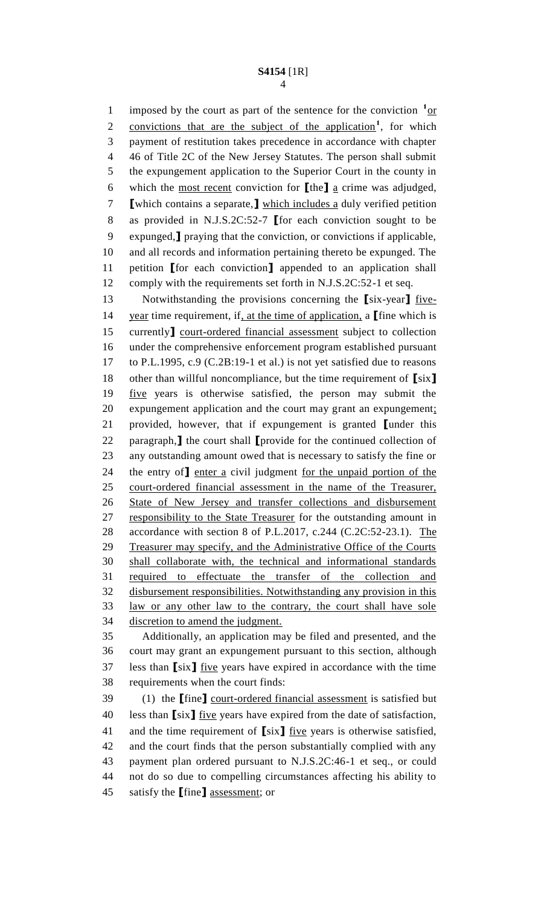1 imposed by the court as part of the sentence for the conviction  $1_{\text{OT}}$ 2 convictions that are the subject of the application<sup>1</sup>, for which payment of restitution takes precedence in accordance with chapter 46 of Title 2C of the New Jersey Statutes. The person shall submit the expungement application to the Superior Court in the county in which the most recent conviction for **[**the**]** a crime was adjudged, **[**which contains a separate,**]** which includes a duly verified petition as provided in N.J.S.2C:52-7 **[**for each conviction sought to be expunged,**]** praying that the conviction, or convictions if applicable, and all records and information pertaining thereto be expunged. The petition **[**for each conviction**]** appended to an application shall comply with the requirements set forth in N.J.S.2C:52-1 et seq.

 Notwithstanding the provisions concerning the **[**six-year**]** five- year time requirement, if, at the time of application, a **[**fine which is currently**]** court-ordered financial assessment subject to collection under the comprehensive enforcement program established pursuant to P.L.1995, c.9 (C.2B:19-1 et al.) is not yet satisfied due to reasons other than willful noncompliance, but the time requirement of **[**six**]** five years is otherwise satisfied, the person may submit the expungement application and the court may grant an expungement; provided, however, that if expungement is granted **[**under this paragraph,**]** the court shall **[**provide for the continued collection of any outstanding amount owed that is necessary to satisfy the fine or the entry of**]** enter a civil judgment for the unpaid portion of the court-ordered financial assessment in the name of the Treasurer, State of New Jersey and transfer collections and disbursement 27 responsibility to the State Treasurer for the outstanding amount in accordance with section 8 of P.L.2017, c.244 (C.2C:52-23.1). The Treasurer may specify, and the Administrative Office of the Courts shall collaborate with, the technical and informational standards required to effectuate the transfer of the collection and disbursement responsibilities. Notwithstanding any provision in this law or any other law to the contrary, the court shall have sole discretion to amend the judgment.

 Additionally, an application may be filed and presented, and the court may grant an expungement pursuant to this section, although less than **[**six**]** five years have expired in accordance with the time requirements when the court finds:

 (1) the **[**fine**]** court-ordered financial assessment is satisfied but less than **[**six**]** five years have expired from the date of satisfaction, and the time requirement of **[**six**]** five years is otherwise satisfied, and the court finds that the person substantially complied with any payment plan ordered pursuant to N.J.S.2C:46-1 et seq., or could not do so due to compelling circumstances affecting his ability to satisfy the **[**fine**]** assessment; or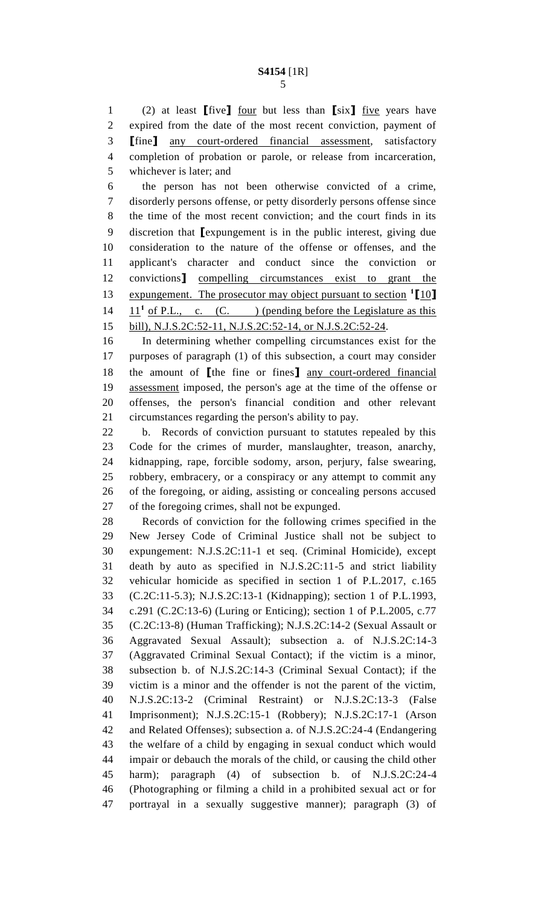(2) at least **[**five**]** four but less than **[**six**]** five years have expired from the date of the most recent conviction, payment of **[**fine**]** any court-ordered financial assessment, satisfactory completion of probation or parole, or release from incarceration, whichever is later; and

 the person has not been otherwise convicted of a crime, disorderly persons offense, or petty disorderly persons offense since the time of the most recent conviction; and the court finds in its discretion that **[**expungement is in the public interest, giving due consideration to the nature of the offense or offenses, and the applicant's character and conduct since the conviction or convictions**]** compelling circumstances exist to grant the 13 expungement. The prosecutor may object pursuant to section <sup>1</sup>[10]  $11^1$  of P.L., c. (C. ) (pending before the Legislature as this bill), N.J.S.2C:52-11, N.J.S.2C:52-14, or N.J.S.2C:52-24.

 In determining whether compelling circumstances exist for the purposes of paragraph (1) of this subsection, a court may consider the amount of **[**the fine or fines**]** any court-ordered financial assessment imposed, the person's age at the time of the offense or offenses, the person's financial condition and other relevant circumstances regarding the person's ability to pay.

 b. Records of conviction pursuant to statutes repealed by this Code for the crimes of murder, manslaughter, treason, anarchy, kidnapping, rape, forcible sodomy, arson, perjury, false swearing, robbery, embracery, or a conspiracy or any attempt to commit any of the foregoing, or aiding, assisting or concealing persons accused of the foregoing crimes, shall not be expunged.

 Records of conviction for the following crimes specified in the New Jersey Code of Criminal Justice shall not be subject to expungement: N.J.S.2C:11-1 et seq. (Criminal Homicide), except death by auto as specified in N.J.S.2C:11-5 and strict liability vehicular homicide as specified in section 1 of P.L.2017, c.165 (C.2C:11-5.3); N.J.S.2C:13-1 (Kidnapping); section 1 of P.L.1993, c.291 (C.2C:13-6) (Luring or Enticing); section 1 of P.L.2005, c.77 (C.2C:13-8) (Human Trafficking); N.J.S.2C:14-2 (Sexual Assault or Aggravated Sexual Assault); subsection a. of N.J.S.2C:14-3 (Aggravated Criminal Sexual Contact); if the victim is a minor, subsection b. of N.J.S.2C:14-3 (Criminal Sexual Contact); if the victim is a minor and the offender is not the parent of the victim, N.J.S.2C:13-2 (Criminal Restraint) or N.J.S.2C:13-3 (False Imprisonment); N.J.S.2C:15-1 (Robbery); N.J.S.2C:17-1 (Arson and Related Offenses); subsection a. of N.J.S.2C:24-4 (Endangering the welfare of a child by engaging in sexual conduct which would impair or debauch the morals of the child, or causing the child other harm); paragraph (4) of subsection b. of N.J.S.2C:24-4 (Photographing or filming a child in a prohibited sexual act or for portrayal in a sexually suggestive manner); paragraph (3) of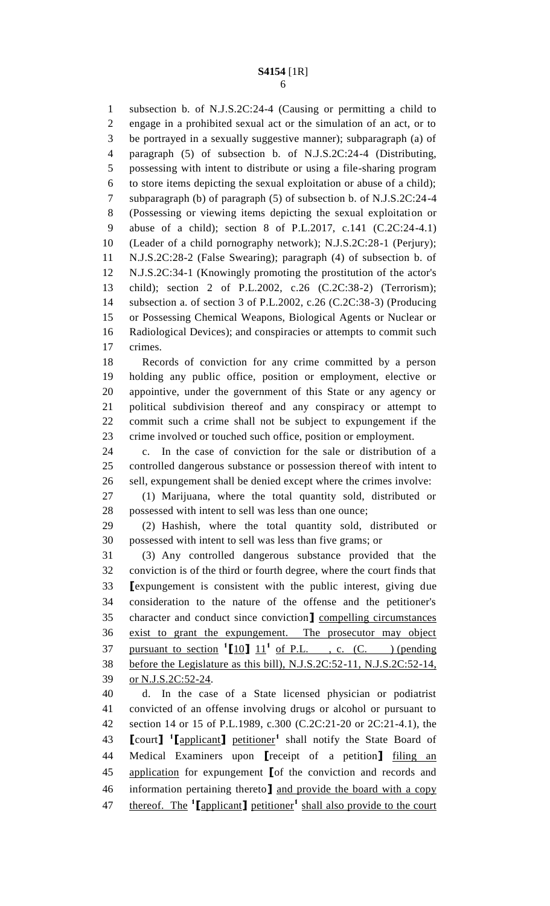subsection b. of N.J.S.2C:24-4 (Causing or permitting a child to engage in a prohibited sexual act or the simulation of an act, or to be portrayed in a sexually suggestive manner); subparagraph (a) of paragraph (5) of subsection b. of N.J.S.2C:24-4 (Distributing, possessing with intent to distribute or using a file-sharing program to store items depicting the sexual exploitation or abuse of a child); subparagraph (b) of paragraph (5) of subsection b. of N.J.S.2C:24-4 (Possessing or viewing items depicting the sexual exploitation or abuse of a child); section 8 of P.L.2017, c.141 (C.2C:24-4.1) (Leader of a child pornography network); N.J.S.2C:28-1 (Perjury); N.J.S.2C:28-2 (False Swearing); paragraph (4) of subsection b. of N.J.S.2C:34-1 (Knowingly promoting the prostitution of the actor's child); section 2 of P.L.2002, c.26 (C.2C:38-2) (Terrorism); subsection a. of section 3 of P.L.2002, c.26 (C.2C:38-3) (Producing or Possessing Chemical Weapons, Biological Agents or Nuclear or Radiological Devices); and conspiracies or attempts to commit such crimes. Records of conviction for any crime committed by a person holding any public office, position or employment, elective or appointive, under the government of this State or any agency or political subdivision thereof and any conspiracy or attempt to commit such a crime shall not be subject to expungement if the

 crime involved or touched such office, position or employment. c. In the case of conviction for the sale or distribution of a controlled dangerous substance or possession thereof with intent to sell, expungement shall be denied except where the crimes involve:

 (1) Marijuana, where the total quantity sold, distributed or possessed with intent to sell was less than one ounce;

 (2) Hashish, where the total quantity sold, distributed or possessed with intent to sell was less than five grams; or

 (3) Any controlled dangerous substance provided that the conviction is of the third or fourth degree, where the court finds that **[**expungement is consistent with the public interest, giving due consideration to the nature of the offense and the petitioner's character and conduct since conviction**]** compelling circumstances exist to grant the expungement. The prosecutor may object 37 pursuant to section  $\binom{1}{10}$   $11^1$  of P.L., c. (C. ) (pending before the Legislature as this bill), N.J.S.2C:52-11, N.J.S.2C:52-14, or N.J.S.2C:52-24.

 d. In the case of a State licensed physician or podiatrist convicted of an offense involving drugs or alcohol or pursuant to section 14 or 15 of P.L.1989, c.300 (C.2C:21-20 or 2C:21-4.1), the **[**court**] 1 [**applicant**]** petitioner**<sup>1</sup>** shall notify the State Board of Medical Examiners upon **[**receipt of a petition**]** filing an application for expungement **[**of the conviction and records and information pertaining thereto**]** and provide the board with a copy thereof. The **<sup>1</sup> [**applicant**]** petitioner**<sup>1</sup>** shall also provide to the court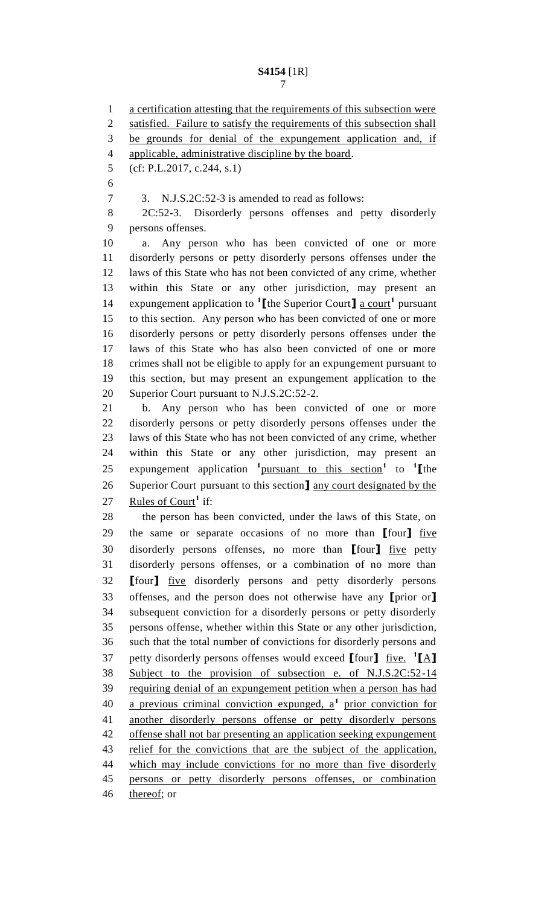a certification attesting that the requirements of this subsection were 2 satisfied. Failure to satisfy the requirements of this subsection shall be grounds for denial of the expungement application and, if applicable, administrative discipline by the board. (cf: P.L.2017, c.244, s.1) 3. N.J.S.2C:52-3 is amended to read as follows: 2C:52-3. Disorderly persons offenses and petty disorderly persons offenses. a. Any person who has been convicted of one or more disorderly persons or petty disorderly persons offenses under the laws of this State who has not been convicted of any crime, whether within this State or any other jurisdiction, may present an 14 expungement application to  $\text{1}$  [the Superior Court] <u>a court</u><sup>1</sup> pursuant to this section. Any person who has been convicted of one or more disorderly persons or petty disorderly persons offenses under the laws of this State who has also been convicted of one or more crimes shall not be eligible to apply for an expungement pursuant to this section, but may present an expungement application to the Superior Court pursuant to N.J.S.2C:52-2. b. Any person who has been convicted of one or more disorderly persons or petty disorderly persons offenses under the laws of this State who has not been convicted of any crime, whether within this State or any other jurisdiction, may present an 25 expungement application <sup>1</sup> pursuant to this section<sup>1</sup> to <sup>1</sup> [the Superior Court pursuant to this section**]** any court designated by the 27 Rules of Court<sup>1</sup> if: the person has been convicted, under the laws of this State, on the same or separate occasions of no more than **[**four**]** five disorderly persons offenses, no more than **[**four**]** five petty disorderly persons offenses, or a combination of no more than **[**four**]** five disorderly persons and petty disorderly persons offenses, and the person does not otherwise have any **[**prior or**]** subsequent conviction for a disorderly persons or petty disorderly persons offense, whether within this State or any other jurisdiction, such that the total number of convictions for disorderly persons and petty disorderly persons offenses would exceed **[**four**]** five. **1 [**A**]** Subject to the provision of subsection e. of N.J.S.2C:52-14 requiring denial of an expungement petition when a person has had 40 a previous criminal conviction expunged, a<sup>1</sup> prior conviction for another disorderly persons offense or petty disorderly persons offense shall not bar presenting an application seeking expungement 43 relief for the convictions that are the subject of the application, 44 which may include convictions for no more than five disorderly persons or petty disorderly persons offenses, or combination 46 thereof; or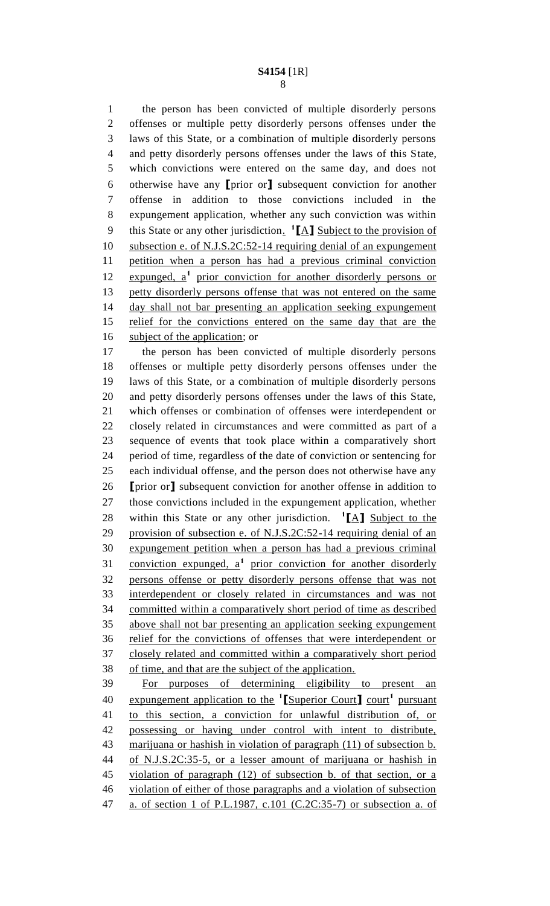the person has been convicted of multiple disorderly persons offenses or multiple petty disorderly persons offenses under the laws of this State, or a combination of multiple disorderly persons and petty disorderly persons offenses under the laws of this State, which convictions were entered on the same day, and does not otherwise have any **[**prior or**]** subsequent conviction for another offense in addition to those convictions included in the expungement application, whether any such conviction was within 9 this State or any other jurisdiction. <sup>1</sup>[A] Subject to the provision of subsection e. of N.J.S.2C:52-14 requiring denial of an expungement petition when a person has had a previous criminal conviction 12 expunged, a<sup>1</sup> prior conviction for another disorderly persons or petty disorderly persons offense that was not entered on the same day shall not bar presenting an application seeking expungement relief for the convictions entered on the same day that are the 16 subject of the application; or

 the person has been convicted of multiple disorderly persons offenses or multiple petty disorderly persons offenses under the laws of this State, or a combination of multiple disorderly persons and petty disorderly persons offenses under the laws of this State, which offenses or combination of offenses were interdependent or closely related in circumstances and were committed as part of a sequence of events that took place within a comparatively short period of time, regardless of the date of conviction or sentencing for each individual offense, and the person does not otherwise have any **[**prior or**]** subsequent conviction for another offense in addition to those convictions included in the expungement application, whether 28 within this State or any other jurisdiction. <sup>1</sup>[A] Subject to the provision of subsection e. of N.J.S.2C:52-14 requiring denial of an expungement petition when a person has had a previous criminal 31 conviction expunged, a<sup>1</sup> prior conviction for another disorderly persons offense or petty disorderly persons offense that was not interdependent or closely related in circumstances and was not committed within a comparatively short period of time as described above shall not bar presenting an application seeking expungement relief for the convictions of offenses that were interdependent or closely related and committed within a comparatively short period of time, and that are the subject of the application. For purposes of determining eligibility to present an 40 expungement application to the <sup>1</sup>[Superior Court] court<sup>1</sup> pursuant to this section, a conviction for unlawful distribution of, or possessing or having under control with intent to distribute,

 marijuana or hashish in violation of paragraph (11) of subsection b. of N.J.S.2C:35-5, or a lesser amount of marijuana or hashish in violation of paragraph (12) of subsection b. of that section, or a violation of either of those paragraphs and a violation of subsection

a. of section 1 of P.L.1987, c.101 (C.2C:35-7) or subsection a. of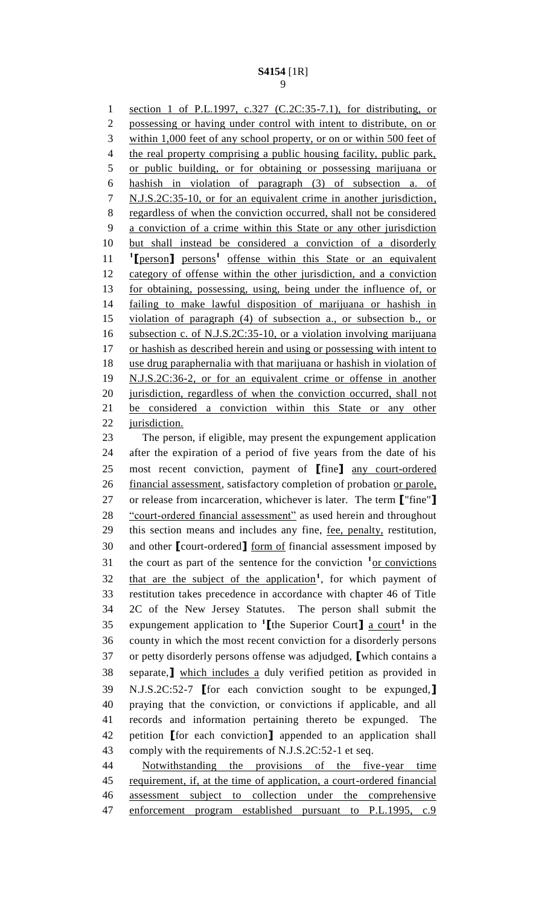section 1 of P.L.1997, c.327 (C.2C:35-7.1), for distributing, or possessing or having under control with intent to distribute, on or within 1,000 feet of any school property, or on or within 500 feet of 4 the real property comprising a public housing facility, public park, or public building, or for obtaining or possessing marijuana or hashish in violation of paragraph (3) of subsection a. of N.J.S.2C:35-10, or for an equivalent crime in another jurisdiction, regardless of when the conviction occurred, shall not be considered a conviction of a crime within this State or any other jurisdiction but shall instead be considered a conviction of a disorderly 11 <sup>1</sup>[person] persons<sup>1</sup> offense within this State or an equivalent category of offense within the other jurisdiction, and a conviction for obtaining, possessing, using, being under the influence of, or failing to make lawful disposition of marijuana or hashish in violation of paragraph (4) of subsection a., or subsection b., or 16 subsection c. of N.J.S.2C:35-10, or a violation involving marijuana 17 or hashish as described herein and using or possessing with intent to use drug paraphernalia with that marijuana or hashish in violation of N.J.S.2C:36-2, or for an equivalent crime or offense in another jurisdiction, regardless of when the conviction occurred, shall not be considered a conviction within this State or any other 22 jurisdiction. The person, if eligible, may present the expungement application after the expiration of a period of five years from the date of his most recent conviction, payment of **[**fine**]** any court-ordered 26 financial assessment, satisfactory completion of probation or parole, or release from incarceration, whichever is later. The term **[**"fine"**]** "court-ordered financial assessment" as used herein and throughout this section means and includes any fine, fee, penalty, restitution, and other **[**court-ordered**]** form of financial assessment imposed by 31 the court as part of the sentence for the conviction <sup>1</sup> or convictions 32 that are the subject of the application<sup>1</sup>, for which payment of restitution takes precedence in accordance with chapter 46 of Title 2C of the New Jersey Statutes. The person shall submit the 35 expungement application to <sup>1</sup>[the Superior Court] <u>a court</u><sup>1</sup> in the county in which the most recent conviction for a disorderly persons or petty disorderly persons offense was adjudged, **[**which contains a separate,**]** which includes a duly verified petition as provided in N.J.S.2C:52-7 **[**for each conviction sought to be expunged,**]** praying that the conviction, or convictions if applicable, and all

 records and information pertaining thereto be expunged. The petition **[**for each conviction**]** appended to an application shall comply with the requirements of N.J.S.2C:52-1 et seq.

 Notwithstanding the provisions of the five-year time requirement, if, at the time of application, a court-ordered financial assessment subject to collection under the comprehensive 47 enforcement program established pursuant to P.L.1995, c.9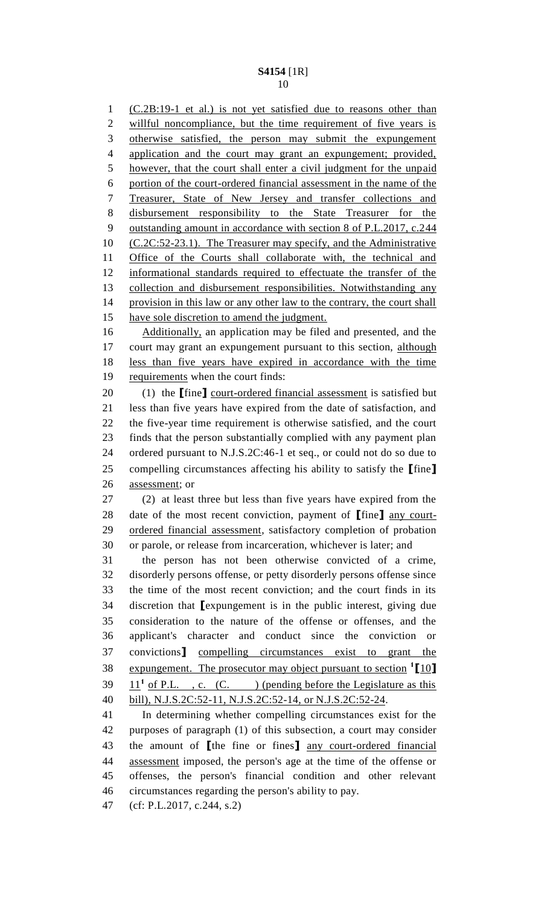(C.2B:19-1 et al.) is not yet satisfied due to reasons other than willful noncompliance, but the time requirement of five years is otherwise satisfied, the person may submit the expungement application and the court may grant an expungement; provided, however, that the court shall enter a civil judgment for the unpaid portion of the court-ordered financial assessment in the name of the Treasurer, State of New Jersey and transfer collections and disbursement responsibility to the State Treasurer for the outstanding amount in accordance with section 8 of P.L.2017, c.244 (C.2C:52-23.1). The Treasurer may specify, and the Administrative Office of the Courts shall collaborate with, the technical and informational standards required to effectuate the transfer of the collection and disbursement responsibilities. Notwithstanding any provision in this law or any other law to the contrary, the court shall 15 have sole discretion to amend the judgment. Additionally, an application may be filed and presented, and the 17 court may grant an expungement pursuant to this section, although less than five years have expired in accordance with the time requirements when the court finds: (1) the **[**fine**]** court-ordered financial assessment is satisfied but less than five years have expired from the date of satisfaction, and the five-year time requirement is otherwise satisfied, and the court finds that the person substantially complied with any payment plan ordered pursuant to N.J.S.2C:46-1 et seq., or could not do so due to compelling circumstances affecting his ability to satisfy the **[**fine**]** assessment; or (2) at least three but less than five years have expired from the date of the most recent conviction, payment of **[**fine**]** any court- ordered financial assessment, satisfactory completion of probation or parole, or release from incarceration, whichever is later; and the person has not been otherwise convicted of a crime, disorderly persons offense, or petty disorderly persons offense since the time of the most recent conviction; and the court finds in its discretion that **[**expungement is in the public interest, giving due consideration to the nature of the offense or offenses, and the applicant's character and conduct since the conviction or convictions**]** compelling circumstances exist to grant the expungement. The prosecutor may object pursuant to section **<sup>1</sup> [**10**]**  $11<sup>1</sup>$  of P.L., c. (C.) (pending before the Legislature as this bill), N.J.S.2C:52-11, N.J.S.2C:52-14, or N.J.S.2C:52-24. In determining whether compelling circumstances exist for the purposes of paragraph (1) of this subsection, a court may consider the amount of **[**the fine or fines**]** any court-ordered financial assessment imposed, the person's age at the time of the offense or offenses, the person's financial condition and other relevant circumstances regarding the person's ability to pay.

(cf: P.L.2017, c.244, s.2)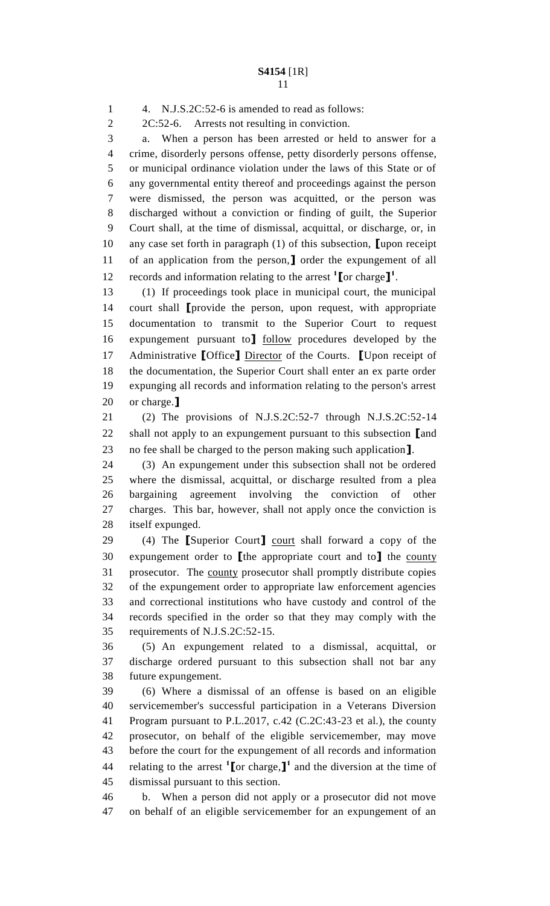4. N.J.S.2C:52-6 is amended to read as follows: 2C:52-6. Arrests not resulting in conviction. a. When a person has been arrested or held to answer for a crime, disorderly persons offense, petty disorderly persons offense, or municipal ordinance violation under the laws of this State or of any governmental entity thereof and proceedings against the person were dismissed, the person was acquitted, or the person was discharged without a conviction or finding of guilt, the Superior Court shall, at the time of dismissal, acquittal, or discharge, or, in any case set forth in paragraph (1) of this subsection, **[**upon receipt of an application from the person,**]** order the expungement of all 12 records and information relating to the arrest <sup>1</sup>[ or charge<sup>]</sup><sup>1</sup>. (1) If proceedings took place in municipal court, the municipal court shall **[**provide the person, upon request, with appropriate documentation to transmit to the Superior Court to request expungement pursuant to**]** follow procedures developed by the Administrative **[**Office**]** Director of the Courts. **[**Upon receipt of the documentation, the Superior Court shall enter an ex parte order expunging all records and information relating to the person's arrest or charge.**]** (2) The provisions of N.J.S.2C:52-7 through N.J.S.2C:52-14 shall not apply to an expungement pursuant to this subsection **[**and no fee shall be charged to the person making such application**]**. (3) An expungement under this subsection shall not be ordered where the dismissal, acquittal, or discharge resulted from a plea bargaining agreement involving the conviction of other charges. This bar, however, shall not apply once the conviction is itself expunged. (4) The **[**Superior Court**]** court shall forward a copy of the expungement order to **[**the appropriate court and to**]** the county prosecutor. The county prosecutor shall promptly distribute copies of the expungement order to appropriate law enforcement agencies and correctional institutions who have custody and control of the records specified in the order so that they may comply with the requirements of N.J.S.2C:52-15. (5) An expungement related to a dismissal, acquittal, or discharge ordered pursuant to this subsection shall not bar any future expungement. (6) Where a dismissal of an offense is based on an eligible servicemember's successful participation in a Veterans Diversion Program pursuant to P.L.2017, c.42 (C.2C:43-23 et al.), the county prosecutor, on behalf of the eligible servicemember, may move before the court for the expungement of all records and information 44 relating to the arrest  $\textbf{1}$  [or charge, **]** and the diversion at the time of dismissal pursuant to this section. b. When a person did not apply or a prosecutor did not move

on behalf of an eligible servicemember for an expungement of an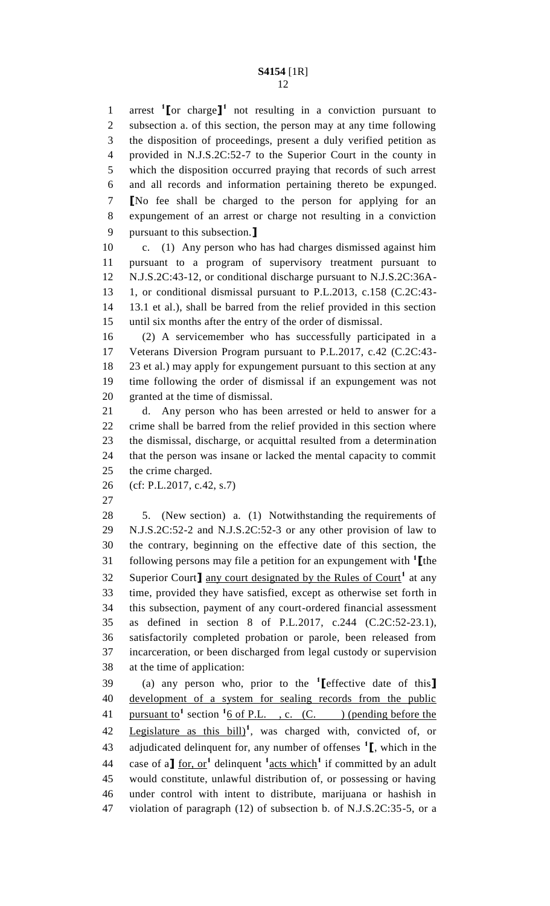arrest **<sup>1</sup> [**or charge**] 1** not resulting in a conviction pursuant to subsection a. of this section, the person may at any time following the disposition of proceedings, present a duly verified petition as provided in N.J.S.2C:52-7 to the Superior Court in the county in which the disposition occurred praying that records of such arrest and all records and information pertaining thereto be expunged. **[**No fee shall be charged to the person for applying for an expungement of an arrest or charge not resulting in a conviction pursuant to this subsection.**]**

 c. (1) Any person who has had charges dismissed against him pursuant to a program of supervisory treatment pursuant to N.J.S.2C:43-12, or conditional discharge pursuant to N.J.S.2C:36A- 1, or conditional dismissal pursuant to P.L.2013, c.158 (C.2C:43- 13.1 et al.), shall be barred from the relief provided in this section until six months after the entry of the order of dismissal.

 (2) A servicemember who has successfully participated in a Veterans Diversion Program pursuant to P.L.2017, c.42 (C.2C:43- 23 et al.) may apply for expungement pursuant to this section at any time following the order of dismissal if an expungement was not granted at the time of dismissal.

 d. Any person who has been arrested or held to answer for a crime shall be barred from the relief provided in this section where the dismissal, discharge, or acquittal resulted from a determination that the person was insane or lacked the mental capacity to commit the crime charged.

- (cf: P.L.2017, c.42, s.7)
- 

 5. (New section) a. (1) Notwithstanding the requirements of N.J.S.2C:52-2 and N.J.S.2C:52-3 or any other provision of law to the contrary, beginning on the effective date of this section, the following persons may file a petition for an expungement with **<sup>1</sup> [**the Superior Court] any court designated by the Rules of Court<sup>1</sup> at any time, provided they have satisfied, except as otherwise set forth in this subsection, payment of any court-ordered financial assessment as defined in section 8 of P.L.2017, c.244 (C.2C:52-23.1), satisfactorily completed probation or parole, been released from incarceration, or been discharged from legal custody or supervision at the time of application:

(a) any person who, prior to the **<sup>1</sup> [**effective date of this**]** development of a system for sealing records from the public 41 pursuant to<sup>1</sup> section  $\frac{1}{6}$  of P.L., c. (C. ) (pending before the 42 Legislature as this bill<sup>1</sup>, was charged with, convicted of, or adjudicated delinquent for, any number of offenses **<sup>1</sup> [**, which in the 44 case of a<sup> $\int$ </sup> for, or<sup>1</sup> delinquent  $\int$ <sup>1</sup> acts which<sup>1</sup> if committed by an adult would constitute, unlawful distribution of, or possessing or having under control with intent to distribute, marijuana or hashish in violation of paragraph (12) of subsection b. of N.J.S.2C:35-5, or a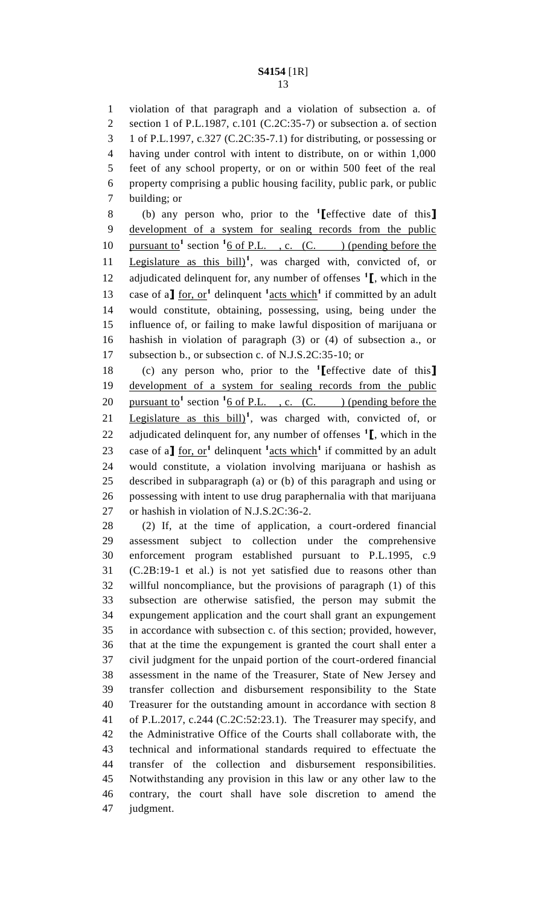violation of that paragraph and a violation of subsection a. of section 1 of P.L.1987, c.101 (C.2C:35-7) or subsection a. of section 1 of P.L.1997, c.327 (C.2C:35-7.1) for distributing, or possessing or having under control with intent to distribute, on or within 1,000 feet of any school property, or on or within 500 feet of the real property comprising a public housing facility, public park, or public building; or

(b) any person who, prior to the **<sup>1</sup> [**effective date of this**]** development of a system for sealing records from the public 10 pursuant to<sup>1</sup> section  $\frac{1}{6}$  of P.L., c. (C. ) (pending before the 11 Legislature as this bill<sup>1</sup>, was charged with, convicted of, or adjudicated delinquent for, any number of offenses **<sup>1</sup> [**, which in the 13 case of a<sup> $\int$ </sup> for, or<sup>1</sup> delinquent <sup>1</sup> acts which<sup>1</sup> if committed by an adult would constitute, obtaining, possessing, using, being under the influence of, or failing to make lawful disposition of marijuana or hashish in violation of paragraph (3) or (4) of subsection a., or subsection b., or subsection c. of N.J.S.2C:35-10; or

(c) any person who, prior to the **<sup>1</sup> [**effective date of this**]** development of a system for sealing records from the public 20 pursuant to<sup>1</sup> section  $\frac{1}{6}$  of P.L., c. (C. ) (pending before the 21 Legislature as this  $\frac{b[1]}{1}$ , was charged with, convicted of, or adjudicated delinquent for, any number of offenses **<sup>1</sup> [**, which in the 23 case of a<sup> $\int$ </sup> for, or<sup>1</sup> delinquent <sup>1</sup> acts which<sup>1</sup> if committed by an adult would constitute, a violation involving marijuana or hashish as described in subparagraph (a) or (b) of this paragraph and using or possessing with intent to use drug paraphernalia with that marijuana or hashish in violation of N.J.S.2C:36-2.

 (2) If, at the time of application, a court-ordered financial assessment subject to collection under the comprehensive enforcement program established pursuant to P.L.1995, c.9 (C.2B:19-1 et al.) is not yet satisfied due to reasons other than willful noncompliance, but the provisions of paragraph (1) of this subsection are otherwise satisfied, the person may submit the expungement application and the court shall grant an expungement in accordance with subsection c. of this section; provided, however, that at the time the expungement is granted the court shall enter a civil judgment for the unpaid portion of the court-ordered financial assessment in the name of the Treasurer, State of New Jersey and transfer collection and disbursement responsibility to the State Treasurer for the outstanding amount in accordance with section 8 of P.L.2017, c.244 (C.2C:52:23.1). The Treasurer may specify, and the Administrative Office of the Courts shall collaborate with, the technical and informational standards required to effectuate the transfer of the collection and disbursement responsibilities. Notwithstanding any provision in this law or any other law to the contrary, the court shall have sole discretion to amend the judgment.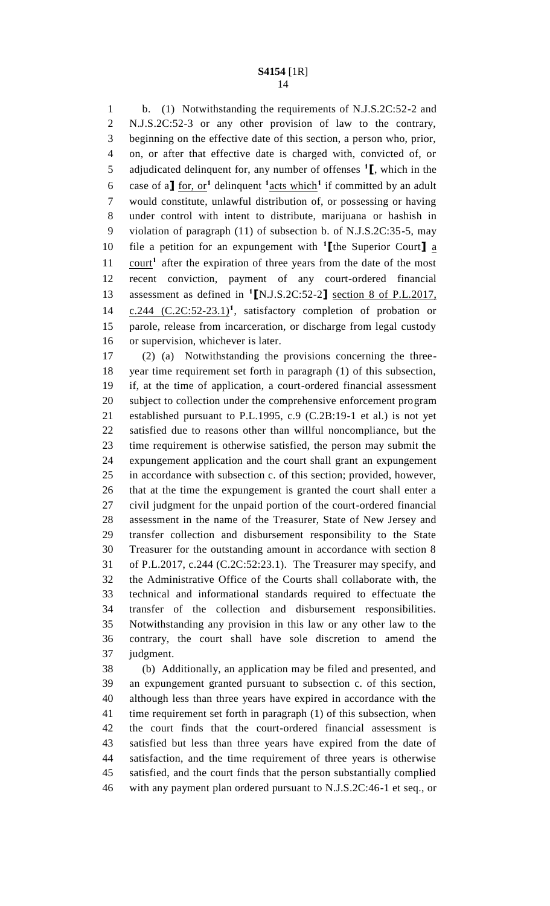b. (1) Notwithstanding the requirements of N.J.S.2C:52-2 and N.J.S.2C:52-3 or any other provision of law to the contrary, beginning on the effective date of this section, a person who, prior, on, or after that effective date is charged with, convicted of, or adjudicated delinquent for, any number of offenses **<sup>1</sup> [**, which in the 6 case of a<sup> $\int$ </sup> for, or<sup>1</sup> delinquent <sup>1</sup> acts which<sup>1</sup> if committed by an adult would constitute, unlawful distribution of, or possessing or having under control with intent to distribute, marijuana or hashish in violation of paragraph (11) of subsection b. of N.J.S.2C:35-5, may file a petition for an expungement with **<sup>1</sup> [**the Superior Court**]** a 11 court<sup>1</sup> after the expiration of three years from the date of the most recent conviction, payment of any court-ordered financial 13 assessment as defined in <sup>1</sup>[N.J.S.2C:52-2] section 8 of P.L.2017,  $c.244$   $(C.2C:52-23.1)^1$ , satisfactory completion of probation or parole, release from incarceration, or discharge from legal custody or supervision, whichever is later.

 (2) (a) Notwithstanding the provisions concerning the three- year time requirement set forth in paragraph (1) of this subsection, if, at the time of application, a court-ordered financial assessment subject to collection under the comprehensive enforcement program established pursuant to P.L.1995, c.9 (C.2B:19-1 et al.) is not yet satisfied due to reasons other than willful noncompliance, but the time requirement is otherwise satisfied, the person may submit the expungement application and the court shall grant an expungement in accordance with subsection c. of this section; provided, however, that at the time the expungement is granted the court shall enter a civil judgment for the unpaid portion of the court-ordered financial assessment in the name of the Treasurer, State of New Jersey and transfer collection and disbursement responsibility to the State Treasurer for the outstanding amount in accordance with section 8 of P.L.2017, c.244 (C.2C:52:23.1). The Treasurer may specify, and the Administrative Office of the Courts shall collaborate with, the technical and informational standards required to effectuate the transfer of the collection and disbursement responsibilities. Notwithstanding any provision in this law or any other law to the contrary, the court shall have sole discretion to amend the judgment.

 (b) Additionally, an application may be filed and presented, and an expungement granted pursuant to subsection c. of this section, although less than three years have expired in accordance with the time requirement set forth in paragraph (1) of this subsection, when the court finds that the court-ordered financial assessment is satisfied but less than three years have expired from the date of satisfaction, and the time requirement of three years is otherwise satisfied, and the court finds that the person substantially complied with any payment plan ordered pursuant to N.J.S.2C:46-1 et seq., or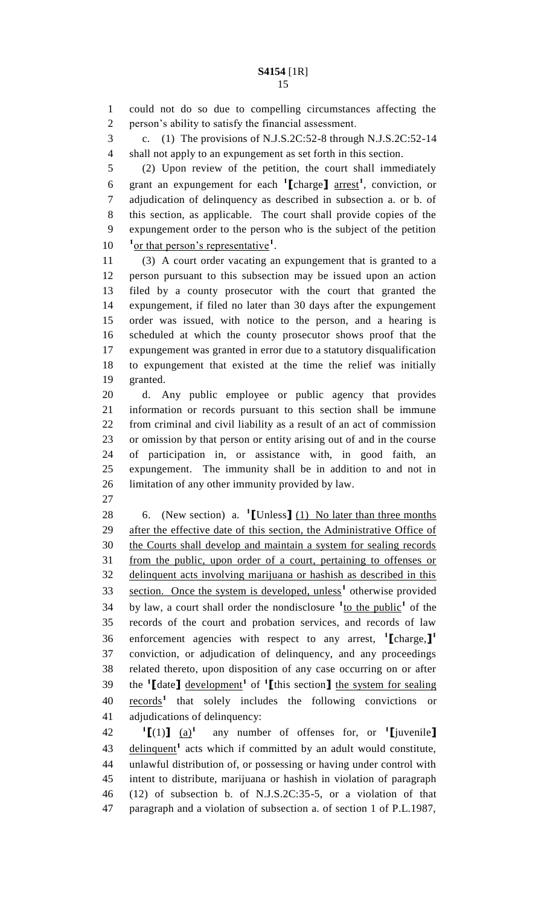could not do so due to compelling circumstances affecting the person's ability to satisfy the financial assessment. c. (1) The provisions of N.J.S.2C:52-8 through N.J.S.2C:52-14 shall not apply to an expungement as set forth in this section.

 (2) Upon review of the petition, the court shall immediately grant an expungement for each **<sup>1</sup> [**charge**]** arrest**<sup>1</sup>** , conviction, or adjudication of delinquency as described in subsection a. or b. of this section, as applicable. The court shall provide copies of the expungement order to the person who is the subject of the petition  $\frac{1}{\alpha}$  or that person's representative<sup>1</sup>.

 (3) A court order vacating an expungement that is granted to a person pursuant to this subsection may be issued upon an action filed by a county prosecutor with the court that granted the expungement, if filed no later than 30 days after the expungement order was issued, with notice to the person, and a hearing is scheduled at which the county prosecutor shows proof that the expungement was granted in error due to a statutory disqualification to expungement that existed at the time the relief was initially granted.

 d. Any public employee or public agency that provides information or records pursuant to this section shall be immune from criminal and civil liability as a result of an act of commission or omission by that person or entity arising out of and in the course of participation in, or assistance with, in good faith, an expungement. The immunity shall be in addition to and not in limitation of any other immunity provided by law.

6. (New section) a. **1 [**Unless**]** (1) No later than three months 29 after the effective date of this section, the Administrative Office of the Courts shall develop and maintain a system for sealing records from the public, upon order of a court, pertaining to offenses or delinquent acts involving marijuana or hashish as described in this 33 section. Once the system is developed, unless<sup>1</sup> otherwise provided 34 by law, a court shall order the nondisclosure  $\frac{1}{10}$  the public<sup>1</sup> of the records of the court and probation services, and records of law enforcement agencies with respect to any arrest, **<sup>1</sup> [**charge,**] 1** conviction, or adjudication of delinquency, and any proceedings related thereto, upon disposition of any case occurring on or after the **<sup>1</sup> [**date**]** development**<sup>1</sup>** of **<sup>1</sup> [**this section**]** the system for sealing 40 records<sup>1</sup> that solely includes the following convictions or adjudications of delinquency:

 $^1$ **[**(1)**]** (a)<sup>1</sup>  $42 \qquad \text{if} (1) \qquad \text{if} \qquad \text{any} \text{ number of of the first, or } \text{if} \text{[invenile]}$ 43 delinquent<sup>1</sup> acts which if committed by an adult would constitute, unlawful distribution of, or possessing or having under control with intent to distribute, marijuana or hashish in violation of paragraph (12) of subsection b. of N.J.S.2C:35-5, or a violation of that paragraph and a violation of subsection a. of section 1 of P.L.1987,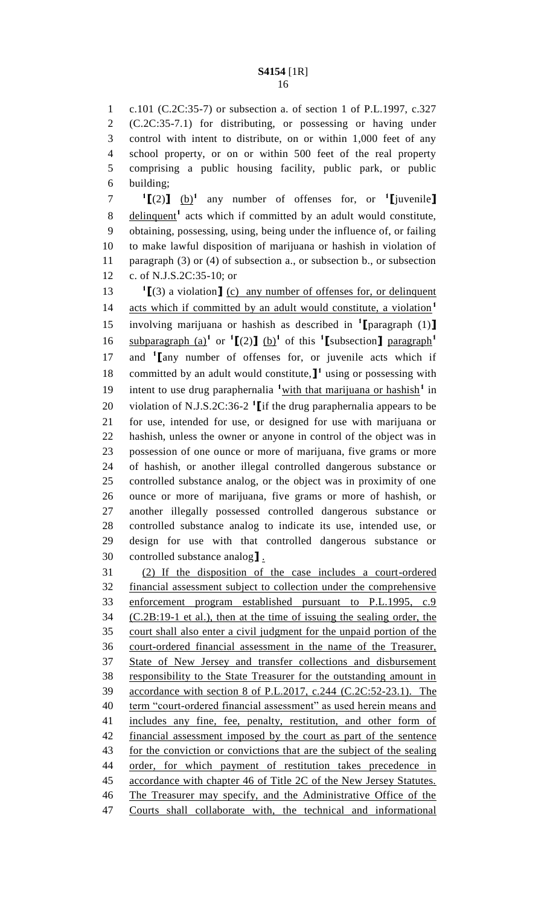c.101 (C.2C:35-7) or subsection a. of section 1 of P.L.1997, c.327 (C.2C:35-7.1) for distributing, or possessing or having under control with intent to distribute, on or within 1,000 feet of any school property, or on or within 500 feet of the real property comprising a public housing facility, public park, or public building;

 **[**(2)**]** (b)**<sup>1</sup>** any number of offenses for, or **<sup>1</sup> [**juvenile**]** 8 delinquent<sup>1</sup> acts which if committed by an adult would constitute, obtaining, possessing, using, being under the influence of, or failing to make lawful disposition of marijuana or hashish in violation of 11 paragraph (3) or (4) of subsection a., or subsection b., or subsection c. of N.J.S.2C:35-10; or

**I** [(3) a violation **]** (c) any number of offenses for, or delinquent acts which if committed by an adult would constitute, a violation**<sup>1</sup>** involving marijuana or hashish as described in **<sup>1</sup> [**paragraph (1)**]** subparagraph  $(a)$ <sup>1</sup> or <sup>1</sup> $[(2)]$   $(b)$ <sup>1</sup> of this <sup>1</sup> $[$ subsection<sup> $]$ </sup> paragraph<sup>1</sup> 17 and <sup>1</sup> [any number of offenses for, or juvenile acts which if 18 committed by an adult would constitute,  $\mathbf{I}^1$  using or possessing with 19 intent to use drug paraphernalia <sup>1</sup> with that marijuana or hashish<sup>1</sup> in 20 violation of N.J.S.2C:36-2<sup>1</sup> [if the drug paraphernalia appears to be for use, intended for use, or designed for use with marijuana or hashish, unless the owner or anyone in control of the object was in possession of one ounce or more of marijuana, five grams or more of hashish, or another illegal controlled dangerous substance or controlled substance analog, or the object was in proximity of one ounce or more of marijuana, five grams or more of hashish, or another illegally possessed controlled dangerous substance or controlled substance analog to indicate its use, intended use, or design for use with that controlled dangerous substance or controlled substance analog**]** .

 (2) If the disposition of the case includes a court-ordered financial assessment subject to collection under the comprehensive enforcement program established pursuant to P.L.1995, c.9 (C.2B:19-1 et al.), then at the time of issuing the sealing order, the court shall also enter a civil judgment for the unpaid portion of the court-ordered financial assessment in the name of the Treasurer, State of New Jersey and transfer collections and disbursement responsibility to the State Treasurer for the outstanding amount in accordance with section 8 of P.L.2017, c.244 (C.2C:52-23.1). The 40 term "court-ordered financial assessment" as used herein means and includes any fine, fee, penalty, restitution, and other form of financial assessment imposed by the court as part of the sentence 43 for the conviction or convictions that are the subject of the sealing order, for which payment of restitution takes precedence in accordance with chapter 46 of Title 2C of the New Jersey Statutes. The Treasurer may specify, and the Administrative Office of the Courts shall collaborate with, the technical and informational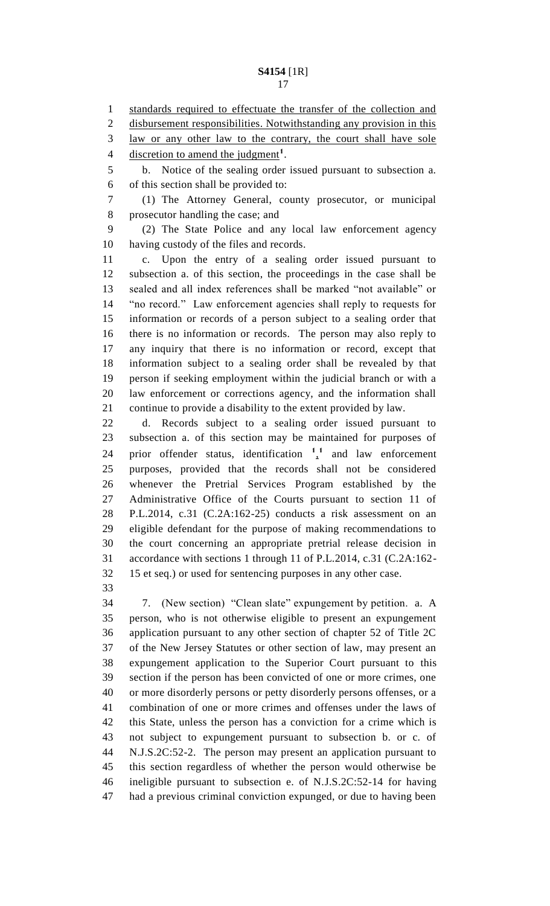1 standards required to effectuate the transfer of the collection and disbursement responsibilities. Notwithstanding any provision in this law or any other law to the contrary, the court shall have sole 4 discretion to amend the judgment<sup>1</sup>. b. Notice of the sealing order issued pursuant to subsection a.

of this section shall be provided to:

 (1) The Attorney General, county prosecutor, or municipal prosecutor handling the case; and

 (2) The State Police and any local law enforcement agency having custody of the files and records.

 c. Upon the entry of a sealing order issued pursuant to subsection a. of this section, the proceedings in the case shall be sealed and all index references shall be marked "not available" or "no record." Law enforcement agencies shall reply to requests for information or records of a person subject to a sealing order that there is no information or records. The person may also reply to any inquiry that there is no information or record, except that information subject to a sealing order shall be revealed by that person if seeking employment within the judicial branch or with a law enforcement or corrections agency, and the information shall continue to provide a disability to the extent provided by law.

 d. Records subject to a sealing order issued pursuant to subsection a. of this section may be maintained for purposes of 24 prior offender status, identification  $\frac{1}{2}$  and law enforcement purposes, provided that the records shall not be considered whenever the Pretrial Services Program established by the Administrative Office of the Courts pursuant to section 11 of P.L.2014, c.31 (C.2A:162-25) conducts a risk assessment on an eligible defendant for the purpose of making recommendations to the court concerning an appropriate pretrial release decision in accordance with sections 1 through 11 of P.L.2014, c.31 (C.2A:162- 15 et seq.) or used for sentencing purposes in any other case.

 7. (New section) "Clean slate" expungement by petition. a. A person, who is not otherwise eligible to present an expungement application pursuant to any other section of chapter 52 of Title 2C of the New Jersey Statutes or other section of law, may present an expungement application to the Superior Court pursuant to this section if the person has been convicted of one or more crimes, one or more disorderly persons or petty disorderly persons offenses, or a combination of one or more crimes and offenses under the laws of this State, unless the person has a conviction for a crime which is not subject to expungement pursuant to subsection b. or c. of N.J.S.2C:52-2. The person may present an application pursuant to this section regardless of whether the person would otherwise be ineligible pursuant to subsection e. of N.J.S.2C:52-14 for having had a previous criminal conviction expunged, or due to having been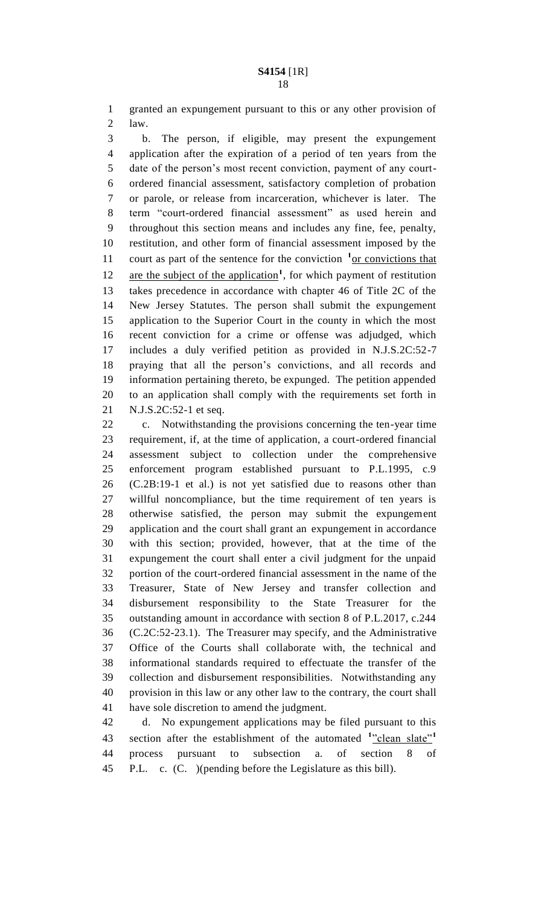granted an expungement pursuant to this or any other provision of law.

 b. The person, if eligible, may present the expungement application after the expiration of a period of ten years from the date of the person's most recent conviction, payment of any court- ordered financial assessment, satisfactory completion of probation or parole, or release from incarceration, whichever is later. The term "court-ordered financial assessment" as used herein and throughout this section means and includes any fine, fee, penalty, restitution, and other form of financial assessment imposed by the 11 court as part of the sentence for the conviction <sup>1</sup> or convictions that 12 are the subject of the application<sup>1</sup>, for which payment of restitution takes precedence in accordance with chapter 46 of Title 2C of the New Jersey Statutes. The person shall submit the expungement application to the Superior Court in the county in which the most recent conviction for a crime or offense was adjudged, which includes a duly verified petition as provided in N.J.S.2C:52-7 praying that all the person's convictions, and all records and information pertaining thereto, be expunged. The petition appended to an application shall comply with the requirements set forth in N.J.S.2C:52-1 et seq.

 c. Notwithstanding the provisions concerning the ten-year time requirement, if, at the time of application, a court-ordered financial assessment subject to collection under the comprehensive enforcement program established pursuant to P.L.1995, c.9 (C.2B:19-1 et al.) is not yet satisfied due to reasons other than willful noncompliance, but the time requirement of ten years is otherwise satisfied, the person may submit the expungement application and the court shall grant an expungement in accordance with this section; provided, however, that at the time of the expungement the court shall enter a civil judgment for the unpaid portion of the court-ordered financial assessment in the name of the Treasurer, State of New Jersey and transfer collection and disbursement responsibility to the State Treasurer for the outstanding amount in accordance with section 8 of P.L.2017, c.244 (C.2C:52-23.1). The Treasurer may specify, and the Administrative Office of the Courts shall collaborate with, the technical and informational standards required to effectuate the transfer of the collection and disbursement responsibilities. Notwithstanding any provision in this law or any other law to the contrary, the court shall have sole discretion to amend the judgment.

 d. No expungement applications may be filed pursuant to this section after the establishment of the automated <sup>1</sup>"clean slate"<sup>1</sup> process pursuant to subsection a. of section 8 of P.L. c. (C. )(pending before the Legislature as this bill).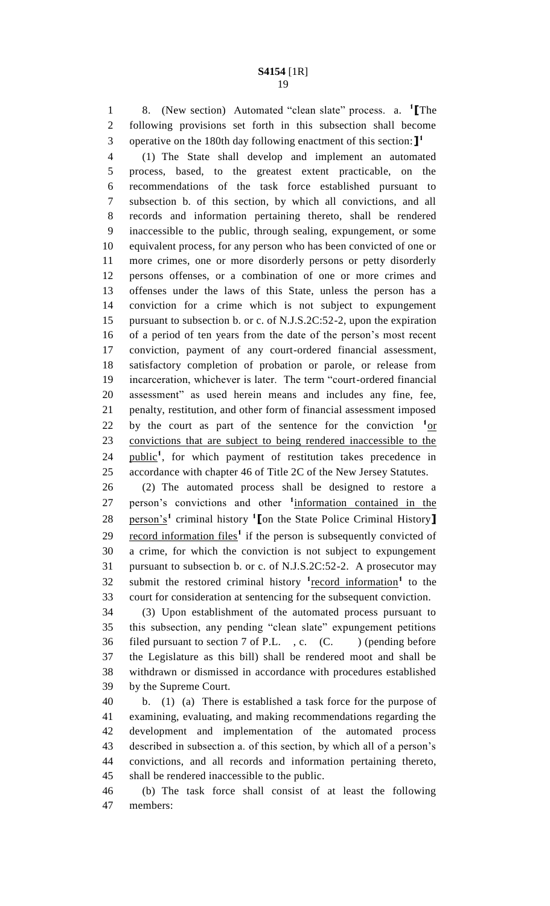8. (New section) Automated "clean slate" process. a. **<sup>1</sup> [**The following provisions set forth in this subsection shall become operative on the 180th day following enactment of this section:**] 1** 

 (1) The State shall develop and implement an automated process, based, to the greatest extent practicable, on the recommendations of the task force established pursuant to subsection b. of this section, by which all convictions, and all records and information pertaining thereto, shall be rendered inaccessible to the public, through sealing, expungement, or some equivalent process, for any person who has been convicted of one or more crimes, one or more disorderly persons or petty disorderly persons offenses, or a combination of one or more crimes and offenses under the laws of this State, unless the person has a conviction for a crime which is not subject to expungement pursuant to subsection b. or c. of N.J.S.2C:52-2, upon the expiration of a period of ten years from the date of the person's most recent conviction, payment of any court-ordered financial assessment, satisfactory completion of probation or parole, or release from incarceration, whichever is later. The term "court-ordered financial assessment" as used herein means and includes any fine, fee, penalty, restitution, and other form of financial assessment imposed 22 by the court as part of the sentence for the conviction  $1_{\text{or}}$  convictions that are subject to being rendered inaccessible to the 24 public<sup>1</sup>, for which payment of restitution takes precedence in accordance with chapter 46 of Title 2C of the New Jersey Statutes.

 (2) The automated process shall be designed to restore a 27 person's convictions and other <sup>1</sup>information contained in the person's**<sup>1</sup>** criminal history **<sup>1</sup> [**on the State Police Criminal History**]** 29 record information files<sup>1</sup> if the person is subsequently convicted of a crime, for which the conviction is not subject to expungement pursuant to subsection b. or c. of N.J.S.2C:52-2. A prosecutor may 32 submit the restored criminal history <sup>1</sup> <u>record information</u><sup>1</sup> to the court for consideration at sentencing for the subsequent conviction.

 (3) Upon establishment of the automated process pursuant to this subsection, any pending "clean slate" expungement petitions 36 filed pursuant to section 7 of P.L., c. (C.) (pending before the Legislature as this bill) shall be rendered moot and shall be withdrawn or dismissed in accordance with procedures established by the Supreme Court.

 b. (1) (a) There is established a task force for the purpose of examining, evaluating, and making recommendations regarding the development and implementation of the automated process described in subsection a. of this section, by which all of a person's convictions, and all records and information pertaining thereto, shall be rendered inaccessible to the public.

 (b) The task force shall consist of at least the following members: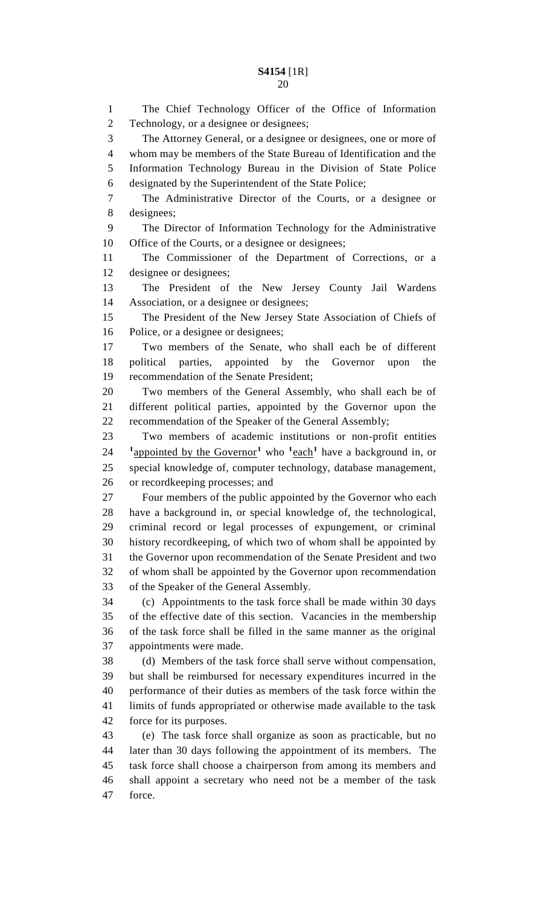The Chief Technology Officer of the Office of Information Technology, or a designee or designees; The Attorney General, or a designee or designees, one or more of whom may be members of the State Bureau of Identification and the Information Technology Bureau in the Division of State Police designated by the Superintendent of the State Police; The Administrative Director of the Courts, or a designee or designees; The Director of Information Technology for the Administrative Office of the Courts, or a designee or designees; The Commissioner of the Department of Corrections, or a designee or designees; The President of the New Jersey County Jail Wardens Association, or a designee or designees; The President of the New Jersey State Association of Chiefs of Police, or a designee or designees; Two members of the Senate, who shall each be of different political parties, appointed by the Governor upon the recommendation of the Senate President; Two members of the General Assembly, who shall each be of different political parties, appointed by the Governor upon the recommendation of the Speaker of the General Assembly; Two members of academic institutions or non-profit entities <sup>1</sup> appointed by the Governor<sup>1</sup> who <sup>1</sup>each<sup>1</sup> have a background in, or special knowledge of, computer technology, database management, or recordkeeping processes; and Four members of the public appointed by the Governor who each have a background in, or special knowledge of, the technological, criminal record or legal processes of expungement, or criminal history recordkeeping, of which two of whom shall be appointed by the Governor upon recommendation of the Senate President and two of whom shall be appointed by the Governor upon recommendation of the Speaker of the General Assembly. (c) Appointments to the task force shall be made within 30 days of the effective date of this section. Vacancies in the membership of the task force shall be filled in the same manner as the original appointments were made. (d) Members of the task force shall serve without compensation, but shall be reimbursed for necessary expenditures incurred in the performance of their duties as members of the task force within the limits of funds appropriated or otherwise made available to the task force for its purposes. (e) The task force shall organize as soon as practicable, but no later than 30 days following the appointment of its members. The task force shall choose a chairperson from among its members and shall appoint a secretary who need not be a member of the task

force.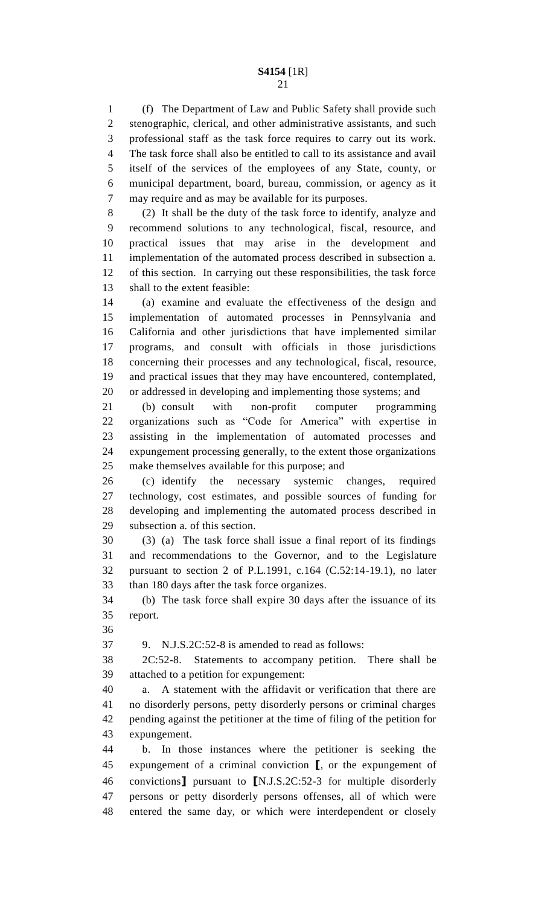(f) The Department of Law and Public Safety shall provide such stenographic, clerical, and other administrative assistants, and such professional staff as the task force requires to carry out its work. The task force shall also be entitled to call to its assistance and avail itself of the services of the employees of any State, county, or municipal department, board, bureau, commission, or agency as it may require and as may be available for its purposes.

 (2) It shall be the duty of the task force to identify, analyze and recommend solutions to any technological, fiscal, resource, and practical issues that may arise in the development and implementation of the automated process described in subsection a. of this section. In carrying out these responsibilities, the task force shall to the extent feasible:

 (a) examine and evaluate the effectiveness of the design and implementation of automated processes in Pennsylvania and California and other jurisdictions that have implemented similar programs, and consult with officials in those jurisdictions concerning their processes and any technological, fiscal, resource, and practical issues that they may have encountered, contemplated, or addressed in developing and implementing those systems; and

 (b) consult with non-profit computer programming organizations such as "Code for America" with expertise in assisting in the implementation of automated processes and expungement processing generally, to the extent those organizations make themselves available for this purpose; and

 (c) identify the necessary systemic changes, required technology, cost estimates, and possible sources of funding for developing and implementing the automated process described in subsection a. of this section.

 (3) (a) The task force shall issue a final report of its findings and recommendations to the Governor, and to the Legislature pursuant to section 2 of P.L.1991, c.164 (C.52:14-19.1), no later than 180 days after the task force organizes.

 (b) The task force shall expire 30 days after the issuance of its report.

9. N.J.S.2C:52-8 is amended to read as follows:

 2C:52-8. Statements to accompany petition. There shall be attached to a petition for expungement:

 a. A statement with the affidavit or verification that there are no disorderly persons, petty disorderly persons or criminal charges pending against the petitioner at the time of filing of the petition for expungement.

 b. In those instances where the petitioner is seeking the expungement of a criminal conviction **[**, or the expungement of convictions**]** pursuant to **[**N.J.S.2C:52-3 for multiple disorderly persons or petty disorderly persons offenses, all of which were entered the same day, or which were interdependent or closely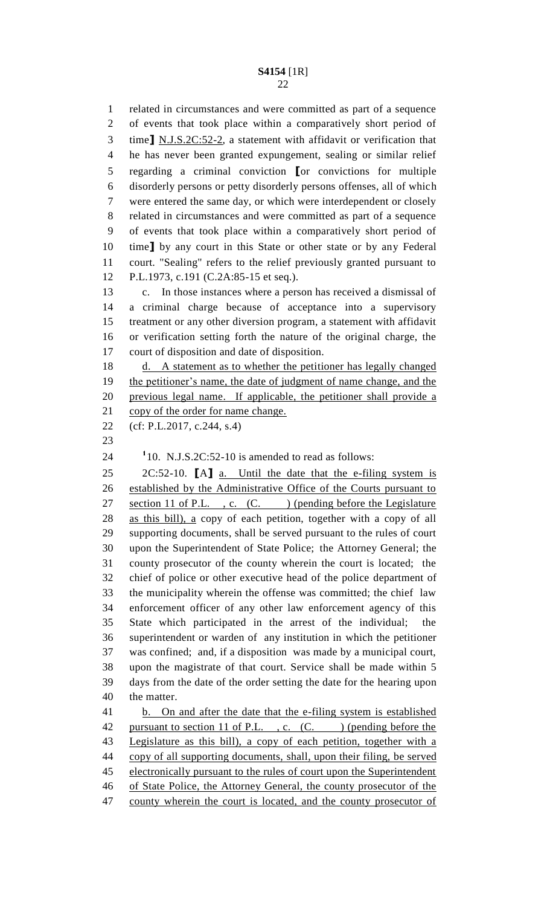related in circumstances and were committed as part of a sequence of events that took place within a comparatively short period of time**]** N.J.S.2C:52-2, a statement with affidavit or verification that he has never been granted expungement, sealing or similar relief regarding a criminal conviction **[**or convictions for multiple disorderly persons or petty disorderly persons offenses, all of which were entered the same day, or which were interdependent or closely related in circumstances and were committed as part of a sequence of events that took place within a comparatively short period of time**]** by any court in this State or other state or by any Federal court. "Sealing" refers to the relief previously granted pursuant to P.L.1973, c.191 (C.2A:85-15 et seq.).

 c. In those instances where a person has received a dismissal of a criminal charge because of acceptance into a supervisory treatment or any other diversion program, a statement with affidavit or verification setting forth the nature of the original charge, the court of disposition and date of disposition.

18 d. A statement as to whether the petitioner has legally changed the petitioner's name, the date of judgment of name change, and the previous legal name. If applicable, the petitioner shall provide a 21 copy of the order for name change.

```
22 (cf: P.L.2017, c.244, s.4)
```
 $110. \text{ N.J.S.2C:52-10 is amended to read as follows:}$ 

 2C:52-10. **[**A**]** a. Until the date that the e-filing system is established by the Administrative Office of the Courts pursuant to 27 section 11 of P.L., c. (C.) (pending before the Legislature as this bill), a copy of each petition, together with a copy of all supporting documents, shall be served pursuant to the rules of court upon the Superintendent of State Police; the Attorney General; the county prosecutor of the county wherein the court is located; the chief of police or other executive head of the police department of the municipality wherein the offense was committed; the chief law enforcement officer of any other law enforcement agency of this State which participated in the arrest of the individual; the superintendent or warden of any institution in which the petitioner was confined; and, if a disposition was made by a municipal court, upon the magistrate of that court. Service shall be made within 5 days from the date of the order setting the date for the hearing upon the matter.

 b. On and after the date that the e-filing system is established 42 pursuant to section 11 of P.L., c. (C.) (pending before the Legislature as this bill), a copy of each petition, together with a copy of all supporting documents, shall, upon their filing, be served 45 electronically pursuant to the rules of court upon the Superintendent of State Police, the Attorney General, the county prosecutor of the 47 county wherein the court is located, and the county prosecutor of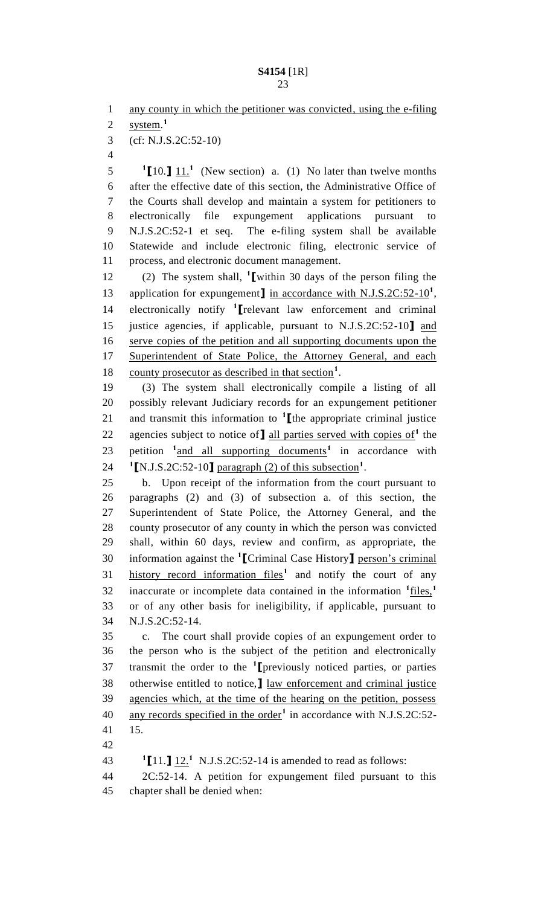1 any county in which the petitioner was convicted, using the e-filing

system. **1** 

(cf: N.J.S.2C:52-10)

  $[10.1 \t{11}$ <sup>1</sup> (New section) a. (1) No later than twelve months after the effective date of this section, the Administrative Office of the Courts shall develop and maintain a system for petitioners to electronically file expungement applications pursuant to N.J.S.2C:52-1 et seq. The e-filing system shall be available Statewide and include electronic filing, electronic service of process, and electronic document management.

(2) The system shall, **<sup>1</sup> [**within 30 days of the person filing the 13 application for expungement**]** in accordance with N.J.S.2C:52-10<sup>1</sup>, electronically notify **<sup>1</sup> [**relevant law enforcement and criminal justice agencies, if applicable, pursuant to N.J.S.2C:52-10**]** and serve copies of the petition and all supporting documents upon the Superintendent of State Police, the Attorney General, and each 18 county prosecutor as described in that section<sup>1</sup>.

 (3) The system shall electronically compile a listing of all possibly relevant Judiciary records for an expungement petitioner 21 and transmit this information to  $\text{1}$  [the appropriate criminal justice 22 agencies subject to notice of **]** all parties served with copies of<sup>1</sup> the 23 petition <sup>1</sup> and all supporting documents<sup>1</sup> in accordance with 24  $\text{I}\left[\text{N.J.S.2C:52-10}\right]$  paragraph (2) of this subsection<sup>1</sup>.

 b. Upon receipt of the information from the court pursuant to paragraphs (2) and (3) of subsection a. of this section, the Superintendent of State Police, the Attorney General, and the county prosecutor of any county in which the person was convicted shall, within 60 days, review and confirm, as appropriate, the information against the **<sup>1</sup> [**Criminal Case History**]** person's criminal 31 history record information files<sup>1</sup> and notify the court of any inaccurate or incomplete data contained in the information **<sup>1</sup>** files,**<sup>1</sup>** or of any other basis for ineligibility, if applicable, pursuant to N.J.S.2C:52-14.

 c. The court shall provide copies of an expungement order to the person who is the subject of the petition and electronically transmit the order to the **<sup>1</sup> [**previously noticed parties, or parties otherwise entitled to notice,**]** law enforcement and criminal justice agencies which, at the time of the hearing on the petition, possess 40 any records specified in the order<sup>1</sup> in accordance with N.J.S.2C:52-15.

43  $\text{I}[11.]\underline{12.}^1$  N.J.S.2C:52-14 is amended to read as follows:

 2C:52-14. A petition for expungement filed pursuant to this chapter shall be denied when: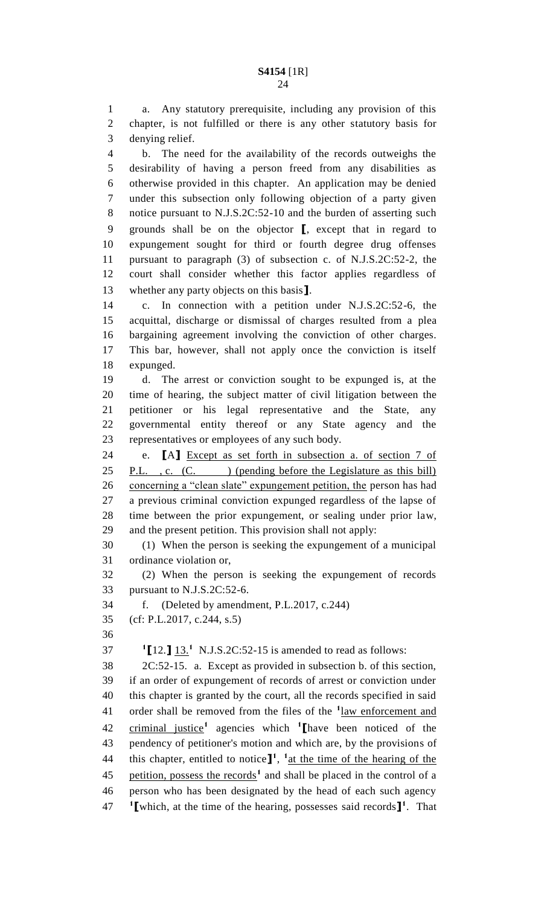a. Any statutory prerequisite, including any provision of this chapter, is not fulfilled or there is any other statutory basis for denying relief.

 b. The need for the availability of the records outweighs the desirability of having a person freed from any disabilities as otherwise provided in this chapter. An application may be denied under this subsection only following objection of a party given notice pursuant to N.J.S.2C:52-10 and the burden of asserting such grounds shall be on the objector **[**, except that in regard to expungement sought for third or fourth degree drug offenses pursuant to paragraph (3) of subsection c. of N.J.S.2C:52-2, the court shall consider whether this factor applies regardless of whether any party objects on this basis**]**.

 c. In connection with a petition under N.J.S.2C:52-6, the acquittal, discharge or dismissal of charges resulted from a plea bargaining agreement involving the conviction of other charges. This bar, however, shall not apply once the conviction is itself expunged.

 d. The arrest or conviction sought to be expunged is, at the time of hearing, the subject matter of civil litigation between the petitioner or his legal representative and the State, any governmental entity thereof or any State agency and the representatives or employees of any such body.

 e. **[**A**]** Except as set forth in subsection a. of section 7 of 25 P.L., c. (C. ) (pending before the Legislature as this bill) 26 concerning a "clean slate" expungement petition, the person has had a previous criminal conviction expunged regardless of the lapse of time between the prior expungement, or sealing under prior law, and the present petition. This provision shall not apply:

 (1) When the person is seeking the expungement of a municipal ordinance violation or,

 (2) When the person is seeking the expungement of records pursuant to N.J.S.2C:52-6.

f. (Deleted by amendment, P.L.2017, c.244)

(cf: P.L.2017, c.244, s.5)

**1**  $[12.]\,\underline{13.}^1$  N.J.S.2C:52-15 is amended to read as follows:

 2C:52-15. a. Except as provided in subsection b. of this section, if an order of expungement of records of arrest or conviction under this chapter is granted by the court, all the records specified in said 41 order shall be removed from the files of the  $\frac{1 \text{law enforcement and}}{1 \text{law enforcement}}$ criminal justice**<sup>1</sup>** agencies which **<sup>1</sup> [**have been noticed of the pendency of petitioner's motion and which are, by the provisions of 44 this chapter, entitled to notice  $\mathbf{I}^1$ ,  $\mathbf{I}$  at the time of the hearing of the 45 petition, possess the records<sup>1</sup> and shall be placed in the control of a person who has been designated by the head of each such agency **1 [**which, at the time of the hearing, possesses said records**] 1** . That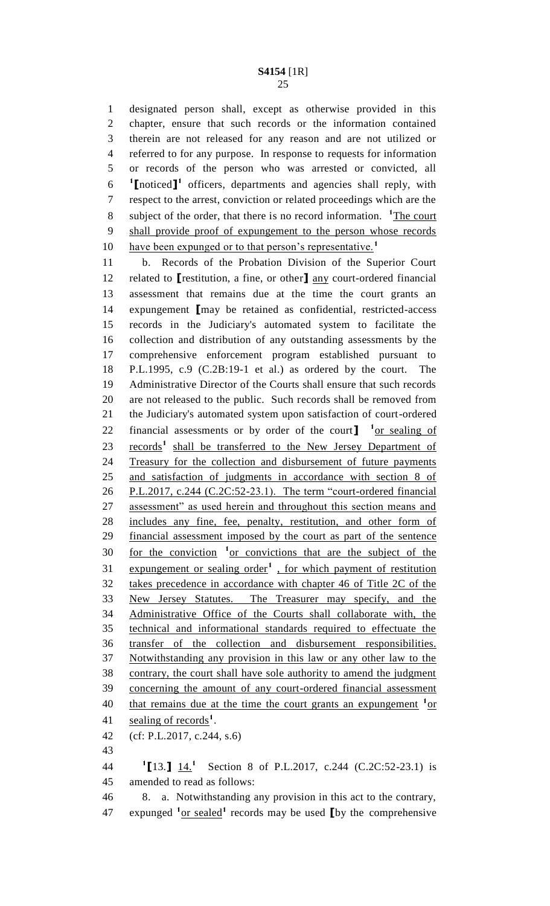designated person shall, except as otherwise provided in this chapter, ensure that such records or the information contained therein are not released for any reason and are not utilized or referred to for any purpose. In response to requests for information or records of the person who was arrested or convicted, all **[**noticed**] 1** officers, departments and agencies shall reply, with respect to the arrest, conviction or related proceedings which are the 8 subject of the order, that there is no record information. <sup>1</sup>The court shall provide proof of expungement to the person whose records have been expunged or to that person's representative.**<sup>1</sup>** 

 b. Records of the Probation Division of the Superior Court related to **[**restitution, a fine, or other**]** any court-ordered financial assessment that remains due at the time the court grants an expungement **[**may be retained as confidential, restricted-access records in the Judiciary's automated system to facilitate the collection and distribution of any outstanding assessments by the comprehensive enforcement program established pursuant to P.L.1995, c.9 (C.2B:19-1 et al.) as ordered by the court. The Administrative Director of the Courts shall ensure that such records are not released to the public. Such records shall be removed from the Judiciary's automated system upon satisfaction of court-ordered 22 financial assessments or by order of the court  $\int_0^1$  or sealing of 23 records<sup>1</sup> shall be transferred to the New Jersey Department of Treasury for the collection and disbursement of future payments and satisfaction of judgments in accordance with section 8 of P.L.2017, c.244 (C.2C:52-23.1). The term "court-ordered financial assessment" as used herein and throughout this section means and includes any fine, fee, penalty, restitution, and other form of financial assessment imposed by the court as part of the sentence 30 for the conviction <sup>1</sup> or convictions that are the subject of the 31 expungement or sealing order<sup>1</sup>, for which payment of restitution takes precedence in accordance with chapter 46 of Title 2C of the New Jersey Statutes. The Treasurer may specify, and the Administrative Office of the Courts shall collaborate with, the technical and informational standards required to effectuate the transfer of the collection and disbursement responsibilities. Notwithstanding any provision in this law or any other law to the contrary, the court shall have sole authority to amend the judgment concerning the amount of any court-ordered financial assessment 40 that remains due at the time the court grants an expungement <sup>1</sup> or 41 sealing of records<sup>1</sup>. (cf: P.L.2017, c.244, s.6) 

**1 [**13.**]** 14.**<sup>1</sup>** 44 Section 8 of P.L.2017, c.244 (C.2C:52-23.1) is amended to read as follows:

 8. a. Notwithstanding any provision in this act to the contrary, 47 expunged <sup>1</sup><sub>or sealed</sub><sup>1</sup> records may be used **[**by the comprehensive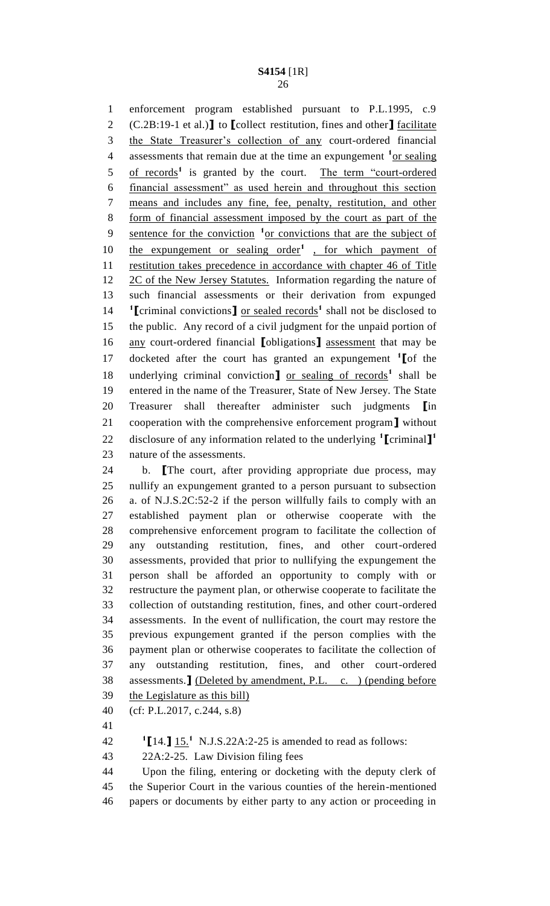enforcement program established pursuant to P.L.1995, c.9 (C.2B:19-1 et al.)**]** to **[**collect restitution, fines and other**]** facilitate the State Treasurer's collection of any court-ordered financial 4 assessments that remain due at the time an expungement <sup>1</sup><sub>Or sealing</sub> 5 of records<sup>1</sup> is granted by the court. The term "court-ordered financial assessment" as used herein and throughout this section means and includes any fine, fee, penalty, restitution, and other form of financial assessment imposed by the court as part of the 9 <u>sentence for the conviction</u> <sup>1</sup> or convictions that are the subject of 10 the expungement or sealing order<sup>1</sup>, for which payment of restitution takes precedence in accordance with chapter 46 of Title 12 2C of the New Jersey Statutes. Information regarding the nature of such financial assessments or their derivation from expunged  $\text{T}$ **[**criminal convictions**]** <u>or sealed records</u><sup>1</sup> shall not be disclosed to the public. Any record of a civil judgment for the unpaid portion of any court-ordered financial **[**obligations**]** assessment that may be docketed after the court has granted an expungement **<sup>1</sup> [**of the 18 underlying criminal conviction<sub>1</sub> or sealing of records<sup>1</sup> shall be entered in the name of the Treasurer, State of New Jersey. The State Treasurer shall thereafter administer such judgments **[**in cooperation with the comprehensive enforcement program**]** without disclosure of any information related to the underlying **<sup>1</sup> [**criminal**] 1** nature of the assessments.

 b. **[**The court, after providing appropriate due process, may nullify an expungement granted to a person pursuant to subsection a. of N.J.S.2C:52-2 if the person willfully fails to comply with an established payment plan or otherwise cooperate with the comprehensive enforcement program to facilitate the collection of any outstanding restitution, fines, and other court-ordered assessments, provided that prior to nullifying the expungement the person shall be afforded an opportunity to comply with or restructure the payment plan, or otherwise cooperate to facilitate the collection of outstanding restitution, fines, and other court-ordered assessments. In the event of nullification, the court may restore the previous expungement granted if the person complies with the payment plan or otherwise cooperates to facilitate the collection of any outstanding restitution, fines, and other court-ordered assessments.**]** (Deleted by amendment, P.L. c. ) (pending before the Legislature as this bill)

(cf: P.L.2017, c.244, s.8)

42  $\text{I}[14.]\,\text{I}[5.1\,\text{N.J.S.22A:2-25}\,$  is amended to read as follows:

22A:2-25. Law Division filing fees

 Upon the filing, entering or docketing with the deputy clerk of the Superior Court in the various counties of the herein-mentioned papers or documents by either party to any action or proceeding in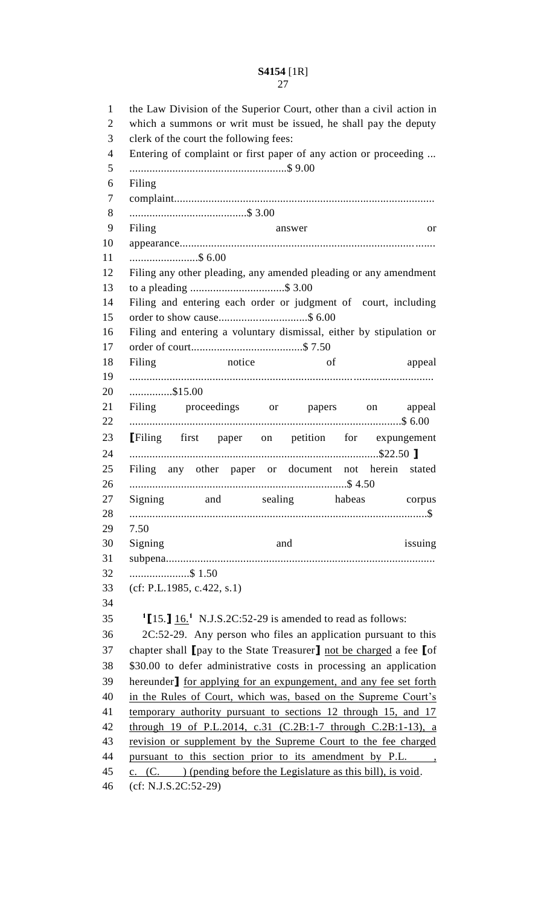the Law Division of the Superior Court, other than a civil action in which a summons or writ must be issued, he shall pay the deputy clerk of the court the following fees: Entering of complaint or first paper of any action or proceeding ... .......................................................\$ 9.00 Filing complaint........................................................................................... .........................................\$ 3.00 Filing answer or appearance......................................................................................... ........................\$ 6.00 Filing any other pleading, any amended pleading or any amendment to a pleading .................................\$ 3.00 Filing and entering each order or judgment of court, including order to show cause...............................\$ 6.00 Filing and entering a voluntary dismissal, either by stipulation or order of court.......................................\$ 7.50 18 Filing notice of appeal .......................................................................................................... ...............\$15.00 Filing proceedings or papers on appeal ...............................................................................................\$ 6.00 **[**Filing first paper on petition for expungement .......................................................................................\$22.50 **]** Filing any other paper or document not herein stated ............................................................................\$ 4.50 Signing and sealing habeas corpus ........................................................................................................\$ 7.50 30 Signing and issuing and issuing subpena.............................................................................................. .....................\$ 1.50 (cf: P.L.1985, c.422, s.1)  $\frac{1}{15.1}$   $\frac{16.1}{16.1}$  N.J.S.2C:52-29 is amended to read as follows: 2C:52-29. Any person who files an application pursuant to this chapter shall **[**pay to the State Treasurer**]** not be charged a fee **[**of \$30.00 to defer administrative costs in processing an application hereunder**]** for applying for an expungement, and any fee set forth in the Rules of Court, which was, based on the Supreme Court's 41 temporary authority pursuant to sections 12 through 15, and 17 through 19 of P.L.2014, c.31 (C.2B:1-7 through C.2B:1-13), a revision or supplement by the Supreme Court to the fee charged 44 pursuant to this section prior to its amendment by P.L., 45 c. (C. ) (pending before the Legislature as this bill), is void. (cf: N.J.S.2C:52-29)